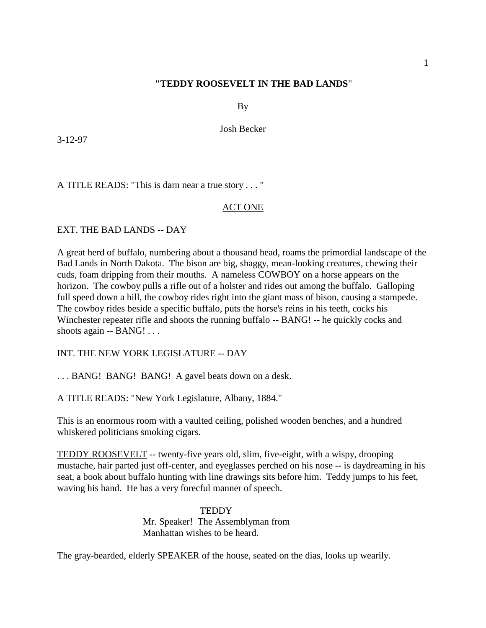# **"TEDDY ROOSEVELT IN THE BAD LANDS**"

By

Josh Becker

3-12-97

A TITLE READS: "This is darn near a true story . . . "

### ACT ONE

EXT. THE BAD LANDS -- DAY

A great herd of buffalo, numbering about a thousand head, roams the primordial landscape of the Bad Lands in North Dakota. The bison are big, shaggy, mean-looking creatures, chewing their cuds, foam dripping from their mouths. A nameless COWBOY on a horse appears on the horizon. The cowboy pulls a rifle out of a holster and rides out among the buffalo. Galloping full speed down a hill, the cowboy rides right into the giant mass of bison, causing a stampede. The cowboy rides beside a specific buffalo, puts the horse's reins in his teeth, cocks his Winchester repeater rifle and shoots the running buffalo -- BANG! -- he quickly cocks and shoots again -- BANG! . . .

INT. THE NEW YORK LEGISLATURE -- DAY

. . . BANG! BANG! BANG! A gavel beats down on a desk.

A TITLE READS: "New York Legislature, Albany, 1884."

This is an enormous room with a vaulted ceiling, polished wooden benches, and a hundred whiskered politicians smoking cigars.

TEDDY ROOSEVELT -- twenty-five years old, slim, five-eight, with a wispy, drooping mustache, hair parted just off-center, and eyeglasses perched on his nose -- is daydreaming in his seat, a book about buffalo hunting with line drawings sits before him. Teddy jumps to his feet, waving his hand. He has a very forecful manner of speech.

> **TEDDY** Mr. Speaker! The Assemblyman from Manhattan wishes to be heard.

The gray-bearded, elderly SPEAKER of the house, seated on the dias, looks up wearily.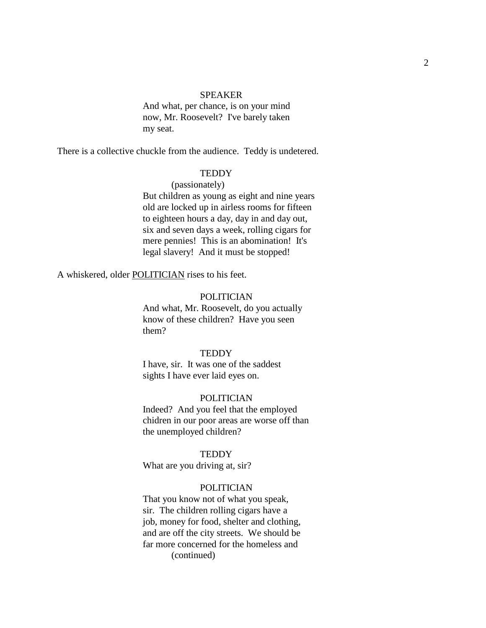#### SPEAKER

And what, per chance, is on your mind now, Mr. Roosevelt? I've barely taken my seat.

There is a collective chuckle from the audience. Teddy is undetered.

#### **TEDDY**

### (passionately)

But children as young as eight and nine years old are locked up in airless rooms for fifteen to eighteen hours a day, day in and day out, six and seven days a week, rolling cigars for mere pennies! This is an abomination! It's legal slavery! And it must be stopped!

A whiskered, older POLITICIAN rises to his feet.

#### POLITICIAN

And what, Mr. Roosevelt, do you actually know of these children? Have you seen them?

### **TEDDY**

I have, sir. It was one of the saddest sights I have ever laid eyes on.

### POLITICIAN

Indeed? And you feel that the employed chidren in our poor areas are worse off than the unemployed children?

#### **TEDDY**

What are you driving at, sir?

### POLITICIAN

That you know not of what you speak, sir. The children rolling cigars have a job, money for food, shelter and clothing, and are off the city streets. We should be far more concerned for the homeless and (continued)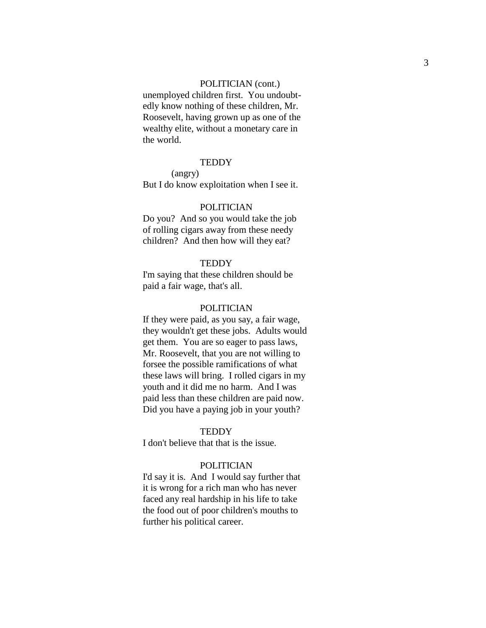#### POLITICIAN (cont.)

unemployed children first. You undoubt edly know nothing of these children, Mr. Roosevelt, having grown up as one of the wealthy elite, without a monetary care in the world.

### **TEDDY**

(angry) But I do know exploitation when I see it.

### POLITICIAN

Do you? And so you would take the job of rolling cigars away from these needy children? And then how will they eat?

### TEDDY

I'm saying that these children should be paid a fair wage, that's all.

#### POLITICIAN

If they were paid, as you say, a fair wage, they wouldn't get these jobs. Adults would get them. You are so eager to pass laws, Mr. Roosevelt, that you are not willing to forsee the possible ramifications of what these laws will bring. I rolled cigars in my youth and it did me no harm. And I was paid less than these children are paid now. Did you have a paying job in your youth?

### **TEDDY**

I don't believe that that is the issue.

### POLITICIAN

I'd say it is. And I would say further that it is wrong for a rich man who has never faced any real hardship in his life to take the food out of poor children's mouths to further his political career.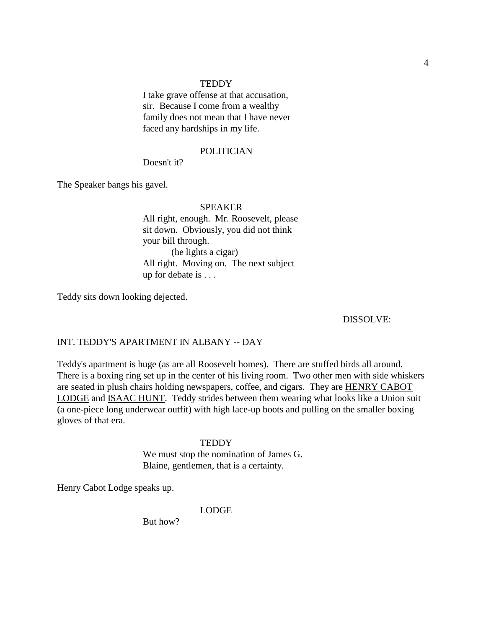I take grave offense at that accusation, sir. Because I come from a wealthy family does not mean that I have never faced any hardships in my life.

#### POLITICIAN

Doesn't it?

The Speaker bangs his gavel.

#### SPEAKER

All right, enough. Mr. Roosevelt, please sit down. Obviously, you did not think your bill through. (he lights a cigar) All right. Moving on. The next subject up for debate is . . .

Teddy sits down looking dejected.

DISSOLVE:

### INT. TEDDY'S APARTMENT IN ALBANY -- DAY

Teddy's apartment is huge (as are all Roosevelt homes). There are stuffed birds all around. There is a boxing ring set up in the center of his living room. Two other men with side whiskers are seated in plush chairs holding newspapers, coffee, and cigars. They are HENRY CABOT LODGE and ISAAC HUNT. Teddy strides between them wearing what looks like a Union suit (a one-piece long underwear outfit) with high lace-up boots and pulling on the smaller boxing gloves of that era.

#### **TEDDY**

We must stop the nomination of James G. Blaine, gentlemen, that is a certainty.

Henry Cabot Lodge speaks up.

LODGE

But how?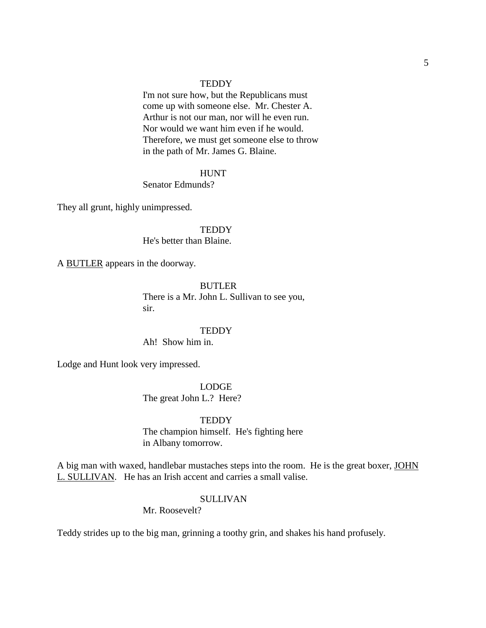I'm not sure how, but the Republicans must come up with someone else. Mr. Chester A. Arthur is not our man, nor will he even run. Nor would we want him even if he would. Therefore, we must get someone else to throw in the path of Mr. James G. Blaine.

#### HUNT

Senator Edmunds?

They all grunt, highly unimpressed.

#### **TEDDY**

He's better than Blaine.

A BUTLER appears in the doorway.

#### BUTLER

There is a Mr. John L. Sullivan to see you, sir.

#### **TEDDY**

Ah! Show him in.

Lodge and Hunt look very impressed.

LODGE The great John L.? Here?

**TEDDY** The champion himself. He's fighting here in Albany tomorrow.

A big man with waxed, handlebar mustaches steps into the room. He is the great boxer, JOHN L. SULLIVAN. He has an Irish accent and carries a small valise.

### SULLIVAN

Mr. Roosevelt?

Teddy strides up to the big man, grinning a toothy grin, and shakes his hand profusely.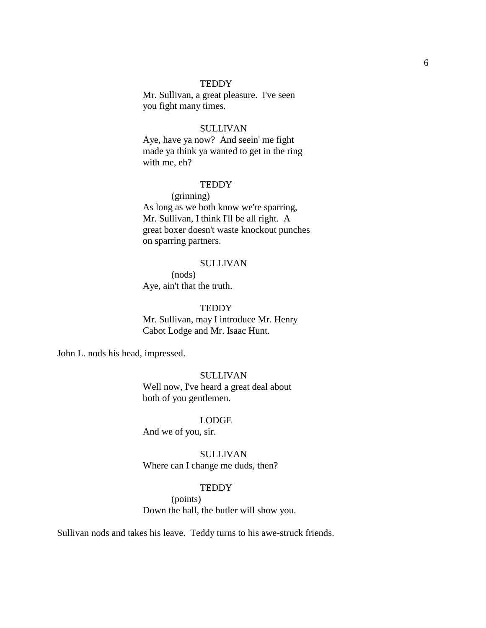Mr. Sullivan, a great pleasure. I've seen you fight many times.

#### SULLIVAN

Aye, have ya now? And seein' me fight made ya think ya wanted to get in the ring with me, eh?

### **TEDDY**

### (grinning)

As long as we both know we're sparring, Mr. Sullivan, I think I'll be all right. A great boxer doesn't waste knockout punches on sparring partners.

#### SULLIVAN

(nods) Aye, ain't that the truth.

### **TEDDY**

Mr. Sullivan, may I introduce Mr. Henry Cabot Lodge and Mr. Isaac Hunt.

John L. nods his head, impressed.

# SULLIVAN

Well now, I've heard a great deal about both of you gentlemen.

### LODGE

And we of you, sir.

SULLIVAN Where can I change me duds, then?

### **TEDDY**

(points) Down the hall, the butler will show you.

Sullivan nods and takes his leave. Teddy turns to his awe-struck friends.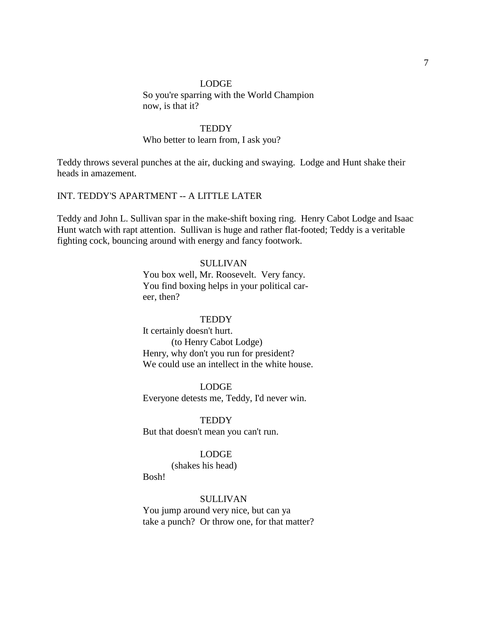#### LODGE

So you're sparring with the World Champion now, is that it?

#### **TEDDY**

# Who better to learn from, I ask you?

Teddy throws several punches at the air, ducking and swaying. Lodge and Hunt shake their heads in amazement.

# INT. TEDDY'S APARTMENT -- A LITTLE LATER

Teddy and John L. Sullivan spar in the make-shift boxing ring. Henry Cabot Lodge and Isaac Hunt watch with rapt attention. Sullivan is huge and rather flat-footed; Teddy is a veritable fighting cock, bouncing around with energy and fancy footwork.

#### SULLIVAN

You box well, Mr. Roosevelt. Very fancy. You find boxing helps in your political career, then?

#### **TEDDY**

It certainly doesn't hurt. (to Henry Cabot Lodge) Henry, why don't you run for president? We could use an intellect in the white house.

#### LODGE

Everyone detests me, Teddy, I'd never win.

**TEDDY** 

But that doesn't mean you can't run.

# LODGE

(shakes his head)

Bosh!

### SULLIVAN

You jump around very nice, but can ya take a punch? Or throw one, for that matter?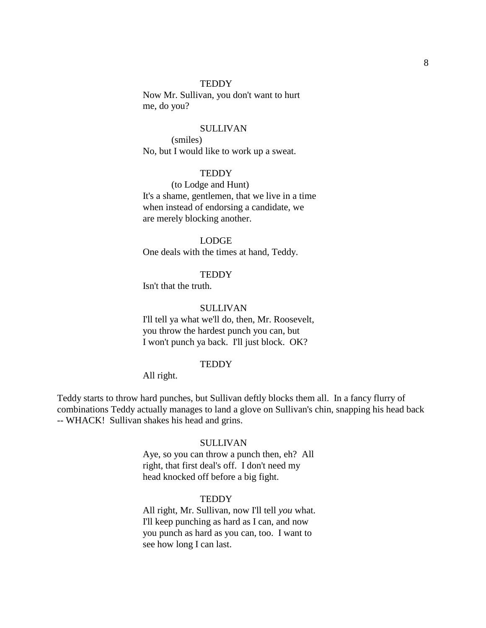Now Mr. Sullivan, you don't want to hurt me, do you?

#### **SULLIVAN**

(smiles) No, but I would like to work up a sweat.

#### **TEDDY**

(to Lodge and Hunt) It's a shame, gentlemen, that we live in a time when instead of endorsing a candidate, we are merely blocking another.

### LODGE

One deals with the times at hand, Teddy.

### **TEDDY**

Isn't that the truth.

#### SULLIVAN

I'll tell ya what we'll do, then, Mr. Roosevelt, you throw the hardest punch you can, but I won't punch ya back. I'll just block. OK?

#### **TEDDY**

#### All right.

Teddy starts to throw hard punches, but Sullivan deftly blocks them all. In a fancy flurry of combinations Teddy actually manages to land a glove on Sullivan's chin, snapping his head back -- WHACK! Sullivan shakes his head and grins.

#### SULLIVAN

Aye, so you can throw a punch then, eh? All right, that first deal's off. I don't need my head knocked off before a big fight.

#### **TEDDY**

All right, Mr. Sullivan, now I'll tell *you* what. I'll keep punching as hard as I can, and now you punch as hard as you can, too. I want to see how long I can last.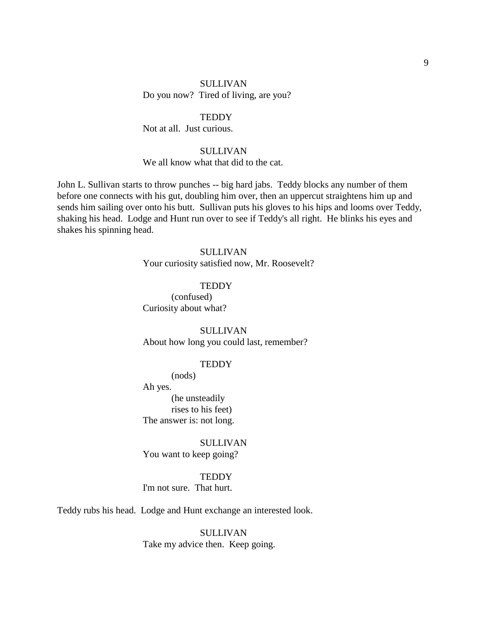# SULLIVAN Do you now? Tired of living, are you?

# **TEDDY**

Not at all. Just curious.

# SULLIVAN

We all know what that did to the cat.

John L. Sullivan starts to throw punches -- big hard jabs. Teddy blocks any number of them before one connects with his gut, doubling him over, then an uppercut straightens him up and sends him sailing over onto his butt. Sullivan puts his gloves to his hips and looms over Teddy, shaking his head. Lodge and Hunt run over to see if Teddy's all right. He blinks his eyes and shakes his spinning head.

# SULLIVAN

Your curiosity satisfied now, Mr. Roosevelt?

### **TEDDY**

(confused) Curiosity about what?

SULLIVAN About how long you could last, remember?

### **TEDDY**

(nods)

Ah yes. (he unsteadily rises to his feet)

The answer is: not long.

SULLIVAN You want to keep going?

**TEDDY** 

I'm not sure. That hurt.

Teddy rubs his head. Lodge and Hunt exchange an interested look.

SULLIVAN Take my advice then. Keep going.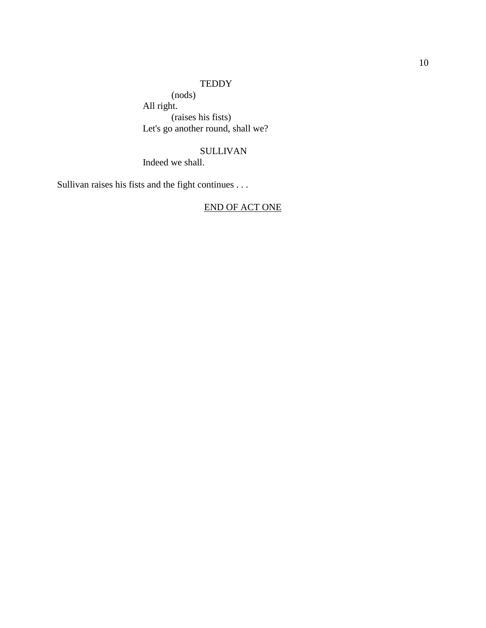(nods) All right. (raises his fists) Let's go another round, shall we?

# SULLIVAN

Indeed we shall.

Sullivan raises his fists and the fight continues . . .

# END OF ACT ONE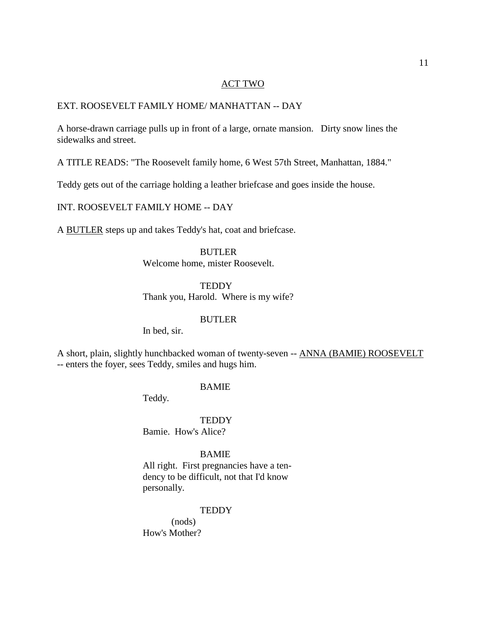### ACT TWO

### EXT. ROOSEVELT FAMILY HOME/ MANHATTAN -- DAY

A horse-drawn carriage pulls up in front of a large, ornate mansion. Dirty snow lines the sidewalks and street.

A TITLE READS: "The Roosevelt family home, 6 West 57th Street, Manhattan, 1884."

Teddy gets out of the carriage holding a leather briefcase and goes inside the house.

INT. ROOSEVELT FAMILY HOME -- DAY

A BUTLER steps up and takes Teddy's hat, coat and briefcase.

#### BUTLER

Welcome home, mister Roosevelt.

#### **TEDDY**

Thank you, Harold. Where is my wife?

### BUTLER

In bed, sir.

A short, plain, slightly hunchbacked woman of twenty-seven -- ANNA (BAMIE) ROOSEVELT -- enters the foyer, sees Teddy, smiles and hugs him.

#### BAMIE

Teddy.

#### **TEDDY**

Bamie. How's Alice?

#### BAMIE

All right. First pregnancies have a tendency to be difficult, not that I'd know personally.

### **TEDDY**

(nods) How's Mother?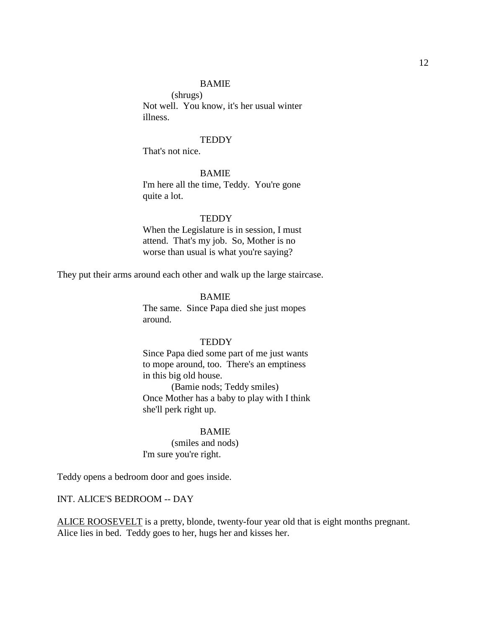# BAMIE

(shrugs) Not well. You know, it's her usual winter illness.

#### **TEDDY**

That's not nice.

### BAMIE

I'm here all the time, Teddy. You're gone quite a lot.

#### **TEDDY**

When the Legislature is in session, I must attend. That's my job. So, Mother is no worse than usual is what you're saying?

They put their arms around each other and walk up the large staircase.

#### BAMIE

The same. Since Papa died she just mopes around.

### **TEDDY**

Since Papa died some part of me just wants to mope around, too. There's an emptiness in this big old house.

(Bamie nods; Teddy smiles) Once Mother has a baby to play with I think she'll perk right up.

### BAMIE

(smiles and nods) I'm sure you're right.

Teddy opens a bedroom door and goes inside.

# INT. ALICE'S BEDROOM -- DAY

ALICE ROOSEVELT is a pretty, blonde, twenty-four year old that is eight months pregnant. Alice lies in bed. Teddy goes to her, hugs her and kisses her.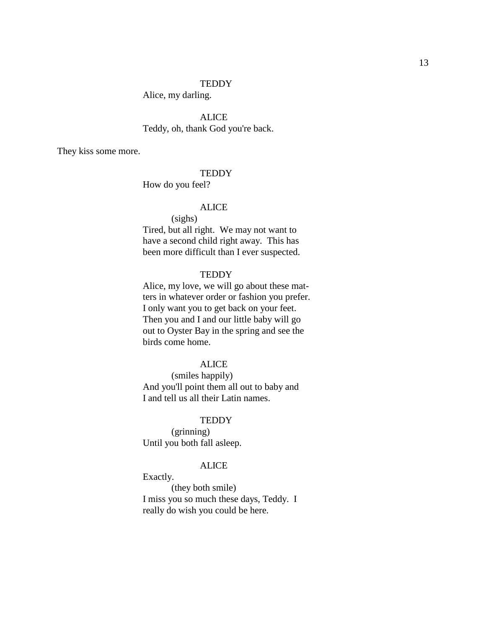Alice, my darling.

ALICE Teddy, oh, thank God you're back.

They kiss some more.

#### **TEDDY**

How do you feel?

### ALICE

(sighs) Tired, but all right. We may not want to have a second child right away. This has been more difficult than I ever suspected.

# **TEDDY**

Alice, my love, we will go about these matters in whatever order or fashion you prefer. I only want you to get back on your feet. Then you and I and our little baby will go out to Oyster Bay in the spring and see the birds come home.

#### ALICE

(smiles happily) And you'll point them all out to baby and I and tell us all their Latin names.

#### **TEDDY**

(grinning) Until you both fall asleep.

### ALICE

Exactly.

(they both smile) I miss you so much these days, Teddy. I really do wish you could be here.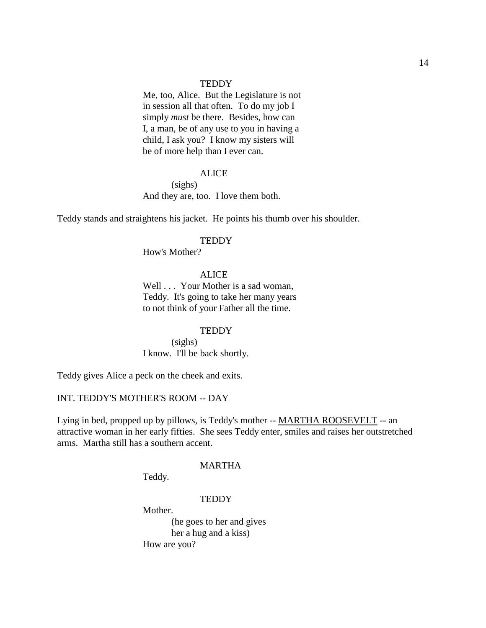Me, too, Alice. But the Legislature is not in session all that often. To do my job I simply *must* be there. Besides, how can I, a man, be of any use to you in having a child, I ask you? I know my sisters will be of more help than I ever can.

#### ALICE

(sighs)

And they are, too. I love them both.

Teddy stands and straightens his jacket. He points his thumb over his shoulder.

#### **TEDDY**

How's Mother?

# **ALICE**

Well . . . Your Mother is a sad woman, Teddy. It's going to take her many years to not think of your Father all the time.

#### **TEDDY**

(sighs) I know. I'll be back shortly.

Teddy gives Alice a peck on the cheek and exits.

# INT. TEDDY'S MOTHER'S ROOM -- DAY

Lying in bed, propped up by pillows, is Teddy's mother -- MARTHA ROOSEVELT -- an attractive woman in her early fifties. She sees Teddy enter, smiles and raises her outstretched arms. Martha still has a southern accent.

#### MARTHA

Teddy.

#### **TEDDY**

Mother. (he goes to her and gives her a hug and a kiss) How are you?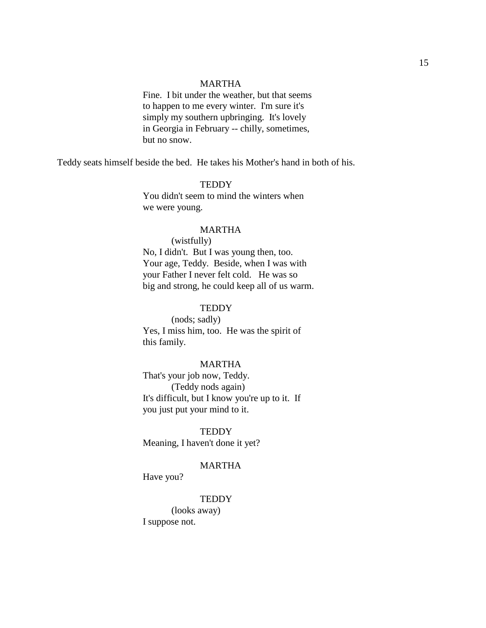### MARTHA

Fine. I bit under the weather, but that seems to happen to me every winter. I'm sure it's simply my southern upbringing. It's lovely in Georgia in February -- chilly, sometimes, but no snow.

Teddy seats himself beside the bed. He takes his Mother's hand in both of his.

### **TEDDY**

You didn't seem to mind the winters when we were young.

#### MARTHA

### (wistfully)

No, I didn't. But I was young then, too. Your age, Teddy. Beside, when I was with your Father I never felt cold. He was so big and strong, he could keep all of us warm.

#### **TEDDY**

(nods; sadly) Yes, I miss him, too. He was the spirit of this family.

#### MARTHA

That's your job now, Teddy. (Teddy nods again) It's difficult, but I know you're up to it. If you just put your mind to it.

**TEDDY** Meaning, I haven't done it yet?

#### MARTHA

Have you?

### **TEDDY**

(looks away) I suppose not.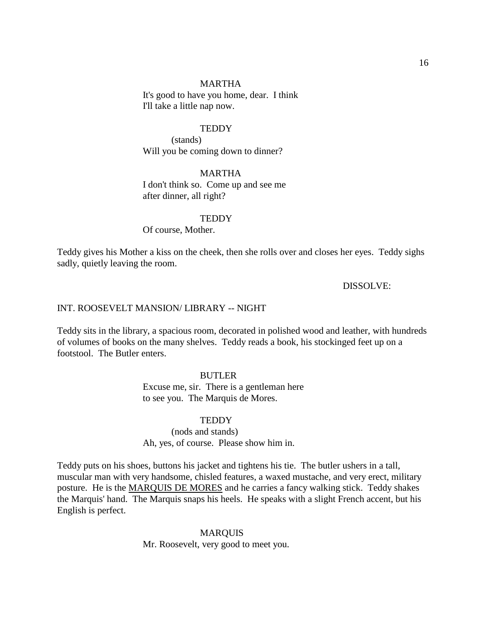#### MARTHA

It's good to have you home, dear. I think I'll take a little nap now.

#### **TEDDY**

(stands) Will you be coming down to dinner?

#### MARTHA

I don't think so. Come up and see me after dinner, all right?

#### **TEDDY**

Of course, Mother.

Teddy gives his Mother a kiss on the cheek, then she rolls over and closes her eyes. Teddy sighs sadly, quietly leaving the room.

DISSOLVE:

### INT. ROOSEVELT MANSION/ LIBRARY -- NIGHT

Teddy sits in the library, a spacious room, decorated in polished wood and leather, with hundreds of volumes of books on the many shelves. Teddy reads a book, his stockinged feet up on a footstool. The Butler enters.

#### BUTLER

Excuse me, sir. There is a gentleman here to see you. The Marquis de Mores.

### TEDDY

(nods and stands) Ah, yes, of course. Please show him in.

Teddy puts on his shoes, buttons his jacket and tightens his tie. The butler ushers in a tall, muscular man with very handsome, chisled features, a waxed mustache, and very erect, military posture. He is the MARQUIS DE MORES and he carries a fancy walking stick. Teddy shakes the Marquis' hand. The Marquis snaps his heels. He speaks with a slight French accent, but his English is perfect.

# MARQUIS Mr. Roosevelt, very good to meet you.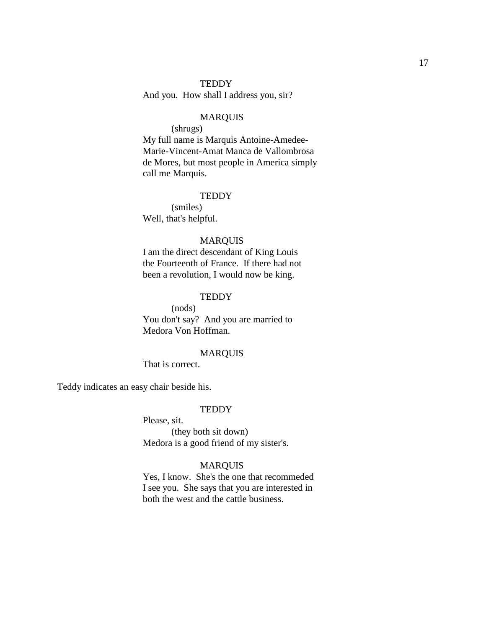And you. How shall I address you, sir?

# MARQUIS

(shrugs)

My full name is Marquis Antoine-Amedee-Marie-Vincent-Amat Manca de Vallombrosa de Mores, but most people in America simply call me Marquis.

# **TEDDY**

(smiles) Well, that's helpful.

### MARQUIS

I am the direct descendant of King Louis the Fourteenth of France. If there had not been a revolution, I would now be king.

### **TEDDY**

(nods) You don't say? And you are married to Medora Von Hoffman.

### MARQUIS

That is correct.

Teddy indicates an easy chair beside his.

#### **TEDDY**

Please, sit.

(they both sit down) Medora is a good friend of my sister's.

### MARQUIS

Yes, I know. She's the one that recommeded I see you. She says that you are interested in both the west and the cattle business.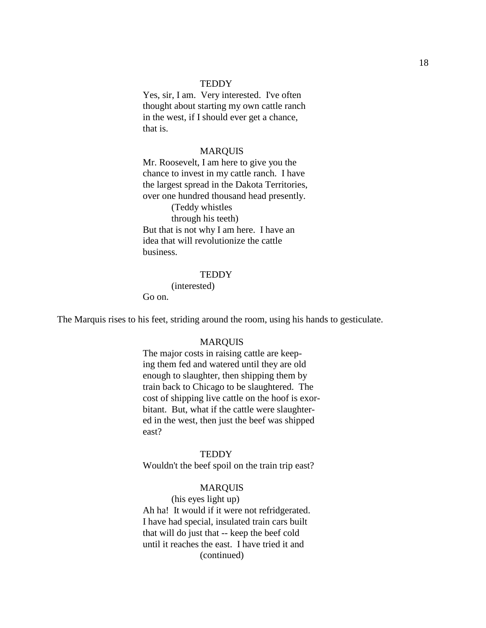Yes, sir, I am. Very interested. I've often thought about starting my own cattle ranch in the west, if I should ever get a chance, that is.

#### MARQUIS

Mr. Roosevelt, I am here to give you the chance to invest in my cattle ranch. I have the largest spread in the Dakota Territories, over one hundred thousand head presently. (Teddy whistles through his teeth) But that is not why I am here. I have an

idea that will revolutionize the cattle business.

### **TEDDY**

(interested)

Go on.

The Marquis rises to his feet, striding around the room, using his hands to gesticulate.

### MARQUIS

The major costs in raising cattle are keeping them fed and watered until they are old enough to slaughter, then shipping them by train back to Chicago to be slaughtered. The cost of shipping live cattle on the hoof is exorbitant. But, what if the cattle were slaughtered in the west, then just the beef was shipped east?

#### **TEDDY**

Wouldn't the beef spoil on the train trip east?

### MARQUIS

(his eyes light up) Ah ha! It would if it were not refridgerated. I have had special, insulated train cars built that will do just that -- keep the beef cold until it reaches the east. I have tried it and (continued)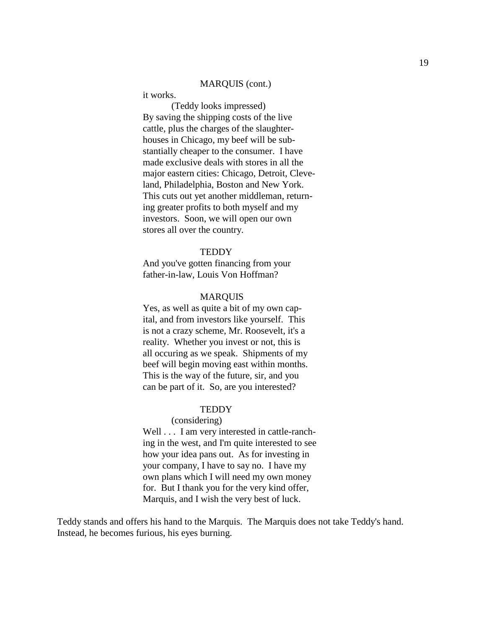### MARQUIS (cont.)

it works.

(Teddy looks impressed) By saving the shipping costs of the live cattle, plus the charges of the slaughterhouses in Chicago, my beef will be substantially cheaper to the consumer. I have made exclusive deals with stores in all the major eastern cities: Chicago, Detroit, Cleveland, Philadelphia, Boston and New York. This cuts out yet another middleman, returning greater profits to both myself and my investors. Soon, we will open our own stores all over the country.

#### **TEDDY**

And you've gotten financing from your father-in-law, Louis Von Hoffman?

### MARQUIS

Yes, as well as quite a bit of my own capital, and from investors like yourself. This is not a crazy scheme, Mr. Roosevelt, it's a reality. Whether you invest or not, this is all occuring as we speak. Shipments of my beef will begin moving east within months. This is the way of the future, sir, and you can be part of it. So, are you interested?

### **TEDDY**

#### (considering)

Well . . . I am very interested in cattle-ranching in the west, and I'm quite interested to see how your idea pans out. As for investing in your company, I have to say no. I have my own plans which I will need my own money for. But I thank you for the very kind offer, Marquis, and I wish the very best of luck.

Teddy stands and offers his hand to the Marquis. The Marquis does not take Teddy's hand. Instead, he becomes furious, his eyes burning.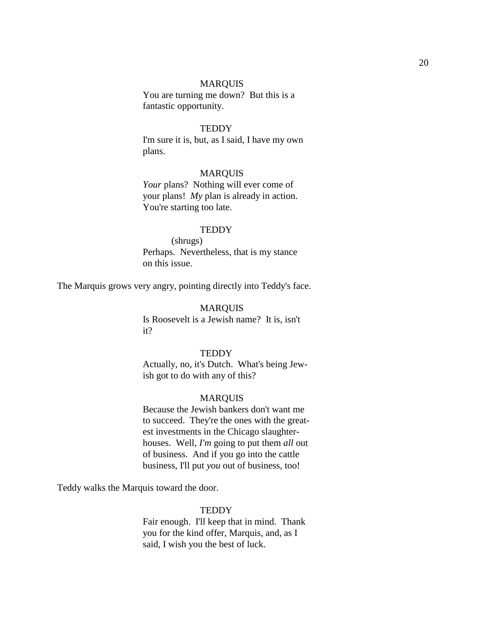#### MARQUIS

You are turning me down? But this is a fantastic opportunity.

#### **TEDDY**

I'm sure it is, but, as I said, I have my own plans.

# MARQUIS

*Your* plans? Nothing will ever come of your plans! *My* plan is already in action. You're starting too late.

#### **TEDDY**

(shrugs) Perhaps. Nevertheless, that is my stance on this issue.

The Marquis grows very angry, pointing directly into Teddy's face.

#### MARQUIS

Is Roosevelt is a Jewish name? It is, isn't it?

### **TEDDY**

Actually, no, it's Dutch. What's being Jewish got to do with any of this?

#### MARQUIS

Because the Jewish bankers don't want me to succeed. They're the ones with the greatest investments in the Chicago slaughterhouses. Well, *I'm* going to put them *all* out of business. And if you go into the cattle business, I'll put *you* out of business, too!

Teddy walks the Marquis toward the door.

### **TEDDY**

Fair enough. I'll keep that in mind. Thank you for the kind offer, Marquis, and, as I said, I wish you the best of luck.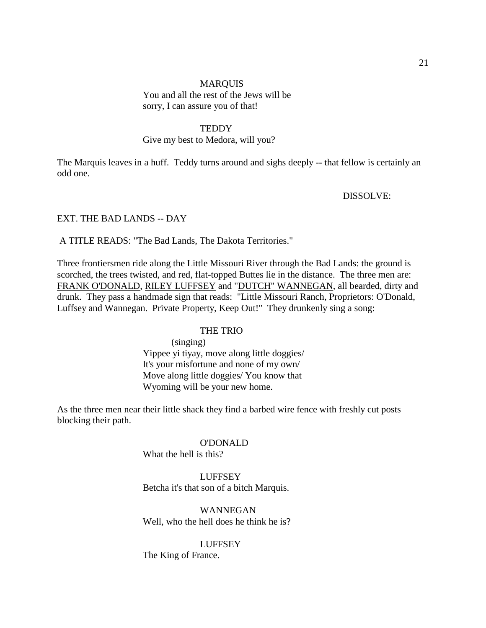# **MARQUIS** You and all the rest of the Jews will be sorry, I can assure you of that!

### **TEDDY**

### Give my best to Medora, will you?

The Marquis leaves in a huff. Teddy turns around and sighs deeply -- that fellow is certainly an odd one.

DISSOLVE:

# EXT. THE BAD LANDS -- DAY

A TITLE READS: "The Bad Lands, The Dakota Territories."

Three frontiersmen ride along the Little Missouri River through the Bad Lands: the ground is scorched, the trees twisted, and red, flat-topped Buttes lie in the distance. The three men are: FRANK O'DONALD, RILEY LUFFSEY and "DUTCH" WANNEGAN, all bearded, dirty and drunk. They pass a handmade sign that reads: "Little Missouri Ranch, Proprietors: O'Donald, Luffsey and Wannegan. Private Property, Keep Out!" They drunkenly sing a song:

#### THE TRIO

(singing) Yippee yi tiyay, move along little doggies/ It's your misfortune and none of my own/ Move along little doggies/ You know that Wyoming will be your new home.

As the three men near their little shack they find a barbed wire fence with freshly cut posts blocking their path.

#### O'DONALD

What the hell is this?

### **LUFFSEY**

Betcha it's that son of a bitch Marquis.

# WANNEGAN Well, who the hell does he think he is?

### LUFFSEY

The King of France.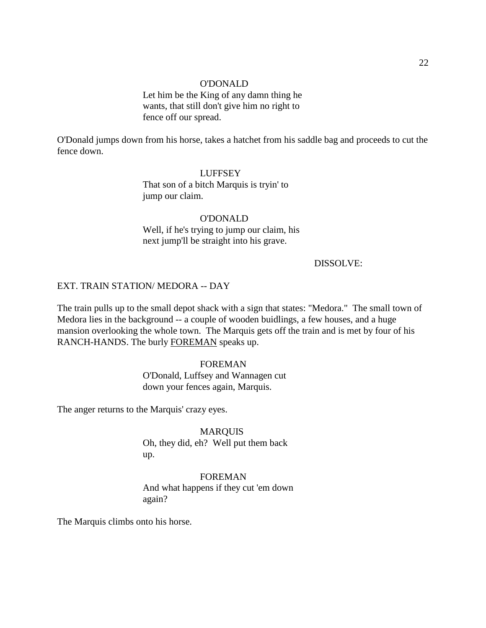#### O'DONALD

Let him be the King of any damn thing he wants, that still don't give him no right to fence off our spread.

O'Donald jumps down from his horse, takes a hatchet from his saddle bag and proceeds to cut the fence down.

> LUFFSEY That son of a bitch Marquis is tryin' to jump our claim.

O'DONALD Well, if he's trying to jump our claim, his next jump'll be straight into his grave.

# DISSOLVE:

### EXT. TRAIN STATION/ MEDORA -- DAY

The train pulls up to the small depot shack with a sign that states: "Medora." The small town of Medora lies in the background -- a couple of wooden buidlings, a few houses, and a huge mansion overlooking the whole town. The Marquis gets off the train and is met by four of his RANCH-HANDS. The burly FOREMAN speaks up.

# FOREMAN

O'Donald, Luffsey and Wannagen cut down your fences again, Marquis.

The anger returns to the Marquis' crazy eyes.

MARQUIS Oh, they did, eh? Well put them back up.

FOREMAN And what happens if they cut 'em down again?

The Marquis climbs onto his horse.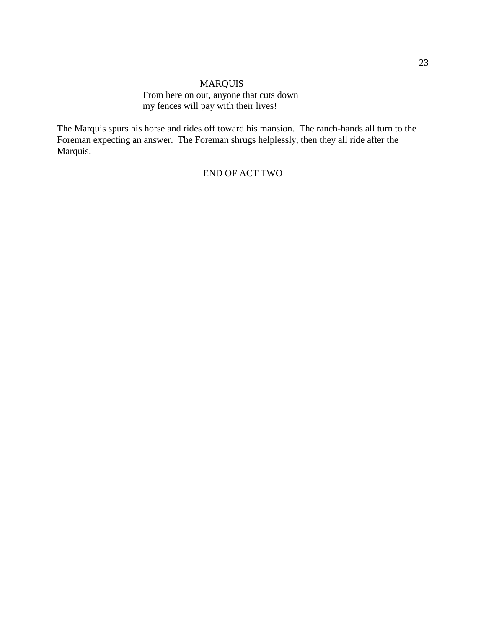# MARQUIS From here on out, anyone that cuts down my fences will pay with their lives!

The Marquis spurs his horse and rides off toward his mansion. The ranch-hands all turn to the Foreman expecting an answer. The Foreman shrugs helplessly, then they all ride after the Marquis.

# END OF ACT TWO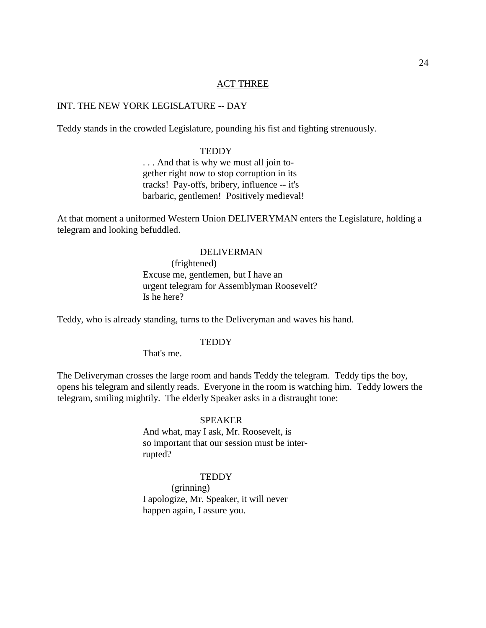### ACT THREE

# INT. THE NEW YORK LEGISLATURE -- DAY

Teddy stands in the crowded Legislature, pounding his fist and fighting strenuously.

#### **TEDDY**

. . . And that is why we must all join together right now to stop corruption in its tracks! Pay-offs, bribery, influence -- it's barbaric, gentlemen! Positively medieval!

At that moment a uniformed Western Union **DELIVERYMAN** enters the Legislature, holding a telegram and looking befuddled.

#### DELIVERMAN

(frightened) Excuse me, gentlemen, but I have an urgent telegram for Assemblyman Roosevelt? Is he here?

Teddy, who is already standing, turns to the Deliveryman and waves his hand.

#### **TEDDY**

That's me.

The Deliveryman crosses the large room and hands Teddy the telegram. Teddy tips the boy, opens his telegram and silently reads. Everyone in the room is watching him. Teddy lowers the telegram, smiling mightily. The elderly Speaker asks in a distraught tone:

### **SPEAKER**

And what, may I ask, Mr. Roosevelt, is so important that our session must be interrupted?

### **TEDDY**

(grinning) I apologize, Mr. Speaker, it will never happen again, I assure you.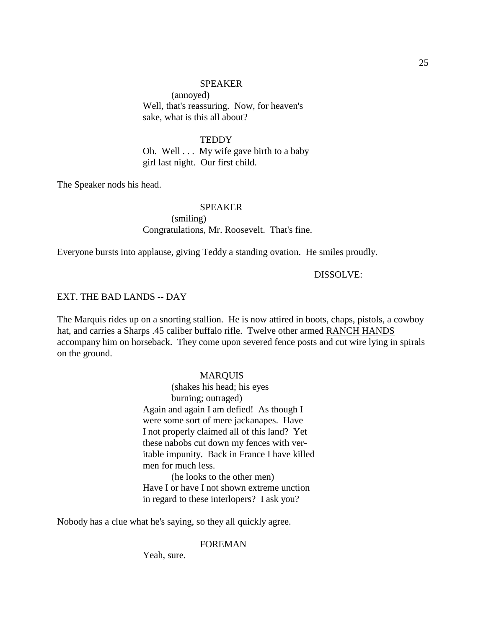#### SPEAKER

(annoyed) Well, that's reassuring. Now, for heaven's sake, what is this all about?

# **TEDDY**

Oh. Well . . . My wife gave birth to a baby girl last night. Our first child.

The Speaker nods his head.

# SPEAKER (smiling) Congratulations, Mr. Roosevelt. That's fine.

Everyone bursts into applause, giving Teddy a standing ovation. He smiles proudly.

### DISSOLVE:

### EXT. THE BAD LANDS -- DAY

The Marquis rides up on a snorting stallion. He is now attired in boots, chaps, pistols, a cowboy hat, and carries a Sharps .45 caliber buffalo rifle. Twelve other armed RANCH HANDS accompany him on horseback. They come upon severed fence posts and cut wire lying in spirals on the ground.

### MARQUIS

(shakes his head; his eyes burning; outraged) Again and again I am defied! As though I were some sort of mere jackanapes. Have I not properly claimed all of this land? Yet these nabobs cut down my fences with veritable impunity. Back in France I have killed men for much less.

(he looks to the other men) Have I or have I not shown extreme unction in regard to these interlopers? I ask you?

Nobody has a clue what he's saying, so they all quickly agree.

### FOREMAN

Yeah, sure.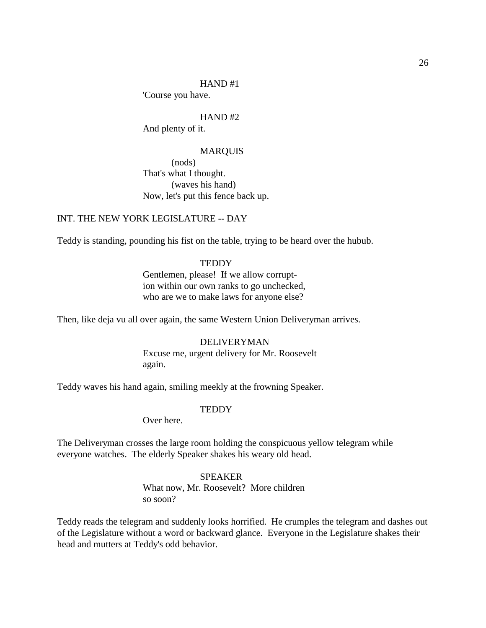'Course you have.

HAND #2 And plenty of it.

#### MARQUIS

(nods) That's what I thought. (waves his hand) Now, let's put this fence back up.

# INT. THE NEW YORK LEGISLATURE -- DAY

Teddy is standing, pounding his fist on the table, trying to be heard over the hubub.

### **TEDDY**

Gentlemen, please! If we allow corruption within our own ranks to go unchecked, who are we to make laws for anyone else?

Then, like deja vu all over again, the same Western Union Deliveryman arrives.

# DELIVERYMAN Excuse me, urgent delivery for Mr. Roosevelt again.

Teddy waves his hand again, smiling meekly at the frowning Speaker.

### **TEDDY**

Over here.

The Deliveryman crosses the large room holding the conspicuous yellow telegram while everyone watches. The elderly Speaker shakes his weary old head.

# SPEAKER

What now, Mr. Roosevelt? More children so soon?

Teddy reads the telegram and suddenly looks horrified. He crumples the telegram and dashes out of the Legislature without a word or backward glance. Everyone in the Legislature shakes their head and mutters at Teddy's odd behavior.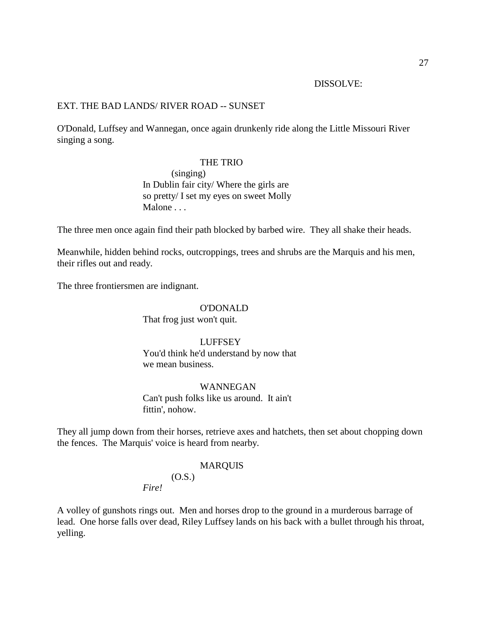#### DISSOLVE:

# EXT. THE BAD LANDS/ RIVER ROAD -- SUNSET

O'Donald, Luffsey and Wannegan, once again drunkenly ride along the Little Missouri River singing a song.

### THE TRIO

(singing) In Dublin fair city/ Where the girls are so pretty/ I set my eyes on sweet Molly Malone . . .

The three men once again find their path blocked by barbed wire. They all shake their heads.

Meanwhile, hidden behind rocks, outcroppings, trees and shrubs are the Marquis and his men, their rifles out and ready.

The three frontiersmen are indignant.

#### O'DONALD

That frog just won't quit.

### **LUFFSEY**

You'd think he'd understand by now that we mean business.

# WANNEGAN

Can't push folks like us around. It ain't fittin', nohow.

They all jump down from their horses, retrieve axes and hatchets, then set about chopping down the fences. The Marquis' voice is heard from nearby.

#### MARQUIS

 $(O.S.)$ *Fire!*

A volley of gunshots rings out. Men and horses drop to the ground in a murderous barrage of lead. One horse falls over dead, Riley Luffsey lands on his back with a bullet through his throat, yelling.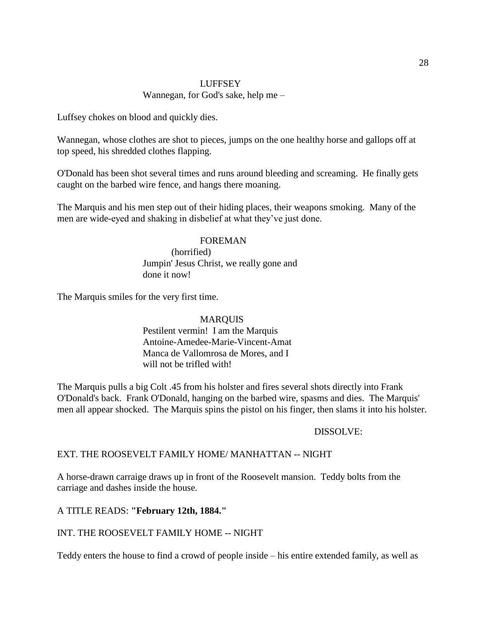# LUFFSEY Wannegan, for God's sake, help me –

Luffsey chokes on blood and quickly dies.

Wannegan, whose clothes are shot to pieces, jumps on the one healthy horse and gallops off at top speed, his shredded clothes flapping.

O'Donald has been shot several times and runs around bleeding and screaming. He finally gets caught on the barbed wire fence, and hangs there moaning.

The Marquis and his men step out of their hiding places, their weapons smoking. Many of the men are wide-eyed and shaking in disbelief at what they've just done.

# FOREMAN

(horrified) Jumpin' Jesus Christ, we really gone and done it now!

The Marquis smiles for the very first time.

# MARQUIS Pestilent vermin! I am the Marquis Antoine-Amedee-Marie-Vincent-Amat Manca de Vallomrosa de Mores, and I will not be trifled with!

The Marquis pulls a big Colt .45 from his holster and fires several shots directly into Frank O'Donald's back. Frank O'Donald, hanging on the barbed wire, spasms and dies. The Marquis' men all appear shocked. The Marquis spins the pistol on his finger, then slams it into his holster.

# DISSOLVE:

# EXT. THE ROOSEVELT FAMILY HOME/ MANHATTAN -- NIGHT

A horse-drawn carraige draws up in front of the Roosevelt mansion. Teddy bolts from the carriage and dashes inside the house.

# A TITLE READS: **"February 12th, 1884."**

# INT. THE ROOSEVELT FAMILY HOME -- NIGHT

Teddy enters the house to find a crowd of people inside – his entire extended family, as well as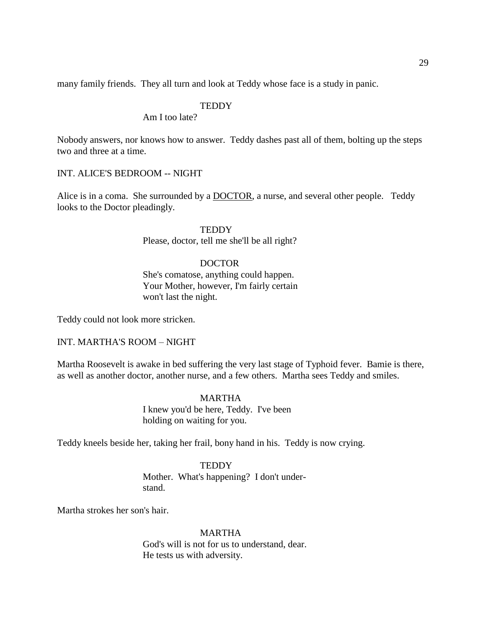many family friends. They all turn and look at Teddy whose face is a study in panic.

# **TEDDY**

Am I too late?

Nobody answers, nor knows how to answer. Teddy dashes past all of them, bolting up the steps two and three at a time.

### INT. ALICE'S BEDROOM -- NIGHT

Alice is in a coma. She surrounded by a **DOCTOR**, a nurse, and several other people. Teddy looks to the Doctor pleadingly.

#### **TEDDY**

Please, doctor, tell me she'll be all right?

# DOCTOR

She's comatose, anything could happen. Your Mother, however, I'm fairly certain won't last the night.

Teddy could not look more stricken.

### INT. MARTHA'S ROOM – NIGHT

Martha Roosevelt is awake in bed suffering the very last stage of Typhoid fever. Bamie is there, as well as another doctor, another nurse, and a few others. Martha sees Teddy and smiles.

### MARTHA

I knew you'd be here, Teddy. I've been holding on waiting for you.

Teddy kneels beside her, taking her frail, bony hand in his. Teddy is now crying.

#### **TEDDY**

Mother. What's happening? I don't understand.

Martha strokes her son's hair.

#### MARTHA

God's will is not for us to understand, dear. He tests us with adversity.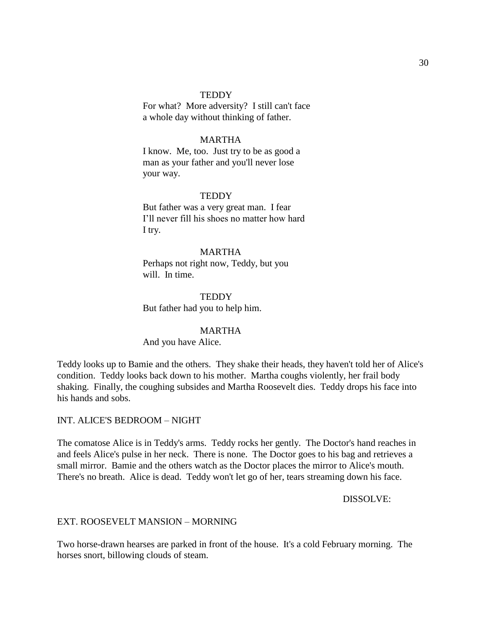For what? More adversity? I still can't face a whole day without thinking of father.

### MARTHA

I know. Me, too. Just try to be as good a man as your father and you'll never lose your way.

#### **TEDDY**

But father was a very great man. I fear I'll never fill his shoes no matter how hard I try.

#### MARTHA

Perhaps not right now, Teddy, but you will. In time.

**TEDDY** But father had you to help him.

#### MARTHA

And you have Alice.

Teddy looks up to Bamie and the others. They shake their heads, they haven't told her of Alice's condition. Teddy looks back down to his mother. Martha coughs violently, her frail body shaking. Finally, the coughing subsides and Martha Roosevelt dies. Teddy drops his face into his hands and sobs.

### INT. ALICE'S BEDROOM – NIGHT

The comatose Alice is in Teddy's arms. Teddy rocks her gently. The Doctor's hand reaches in and feels Alice's pulse in her neck. There is none. The Doctor goes to his bag and retrieves a small mirror. Bamie and the others watch as the Doctor places the mirror to Alice's mouth. There's no breath. Alice is dead. Teddy won't let go of her, tears streaming down his face.

DISSOLVE:

### EXT. ROOSEVELT MANSION – MORNING

Two horse-drawn hearses are parked in front of the house. It's a cold February morning. The horses snort, billowing clouds of steam.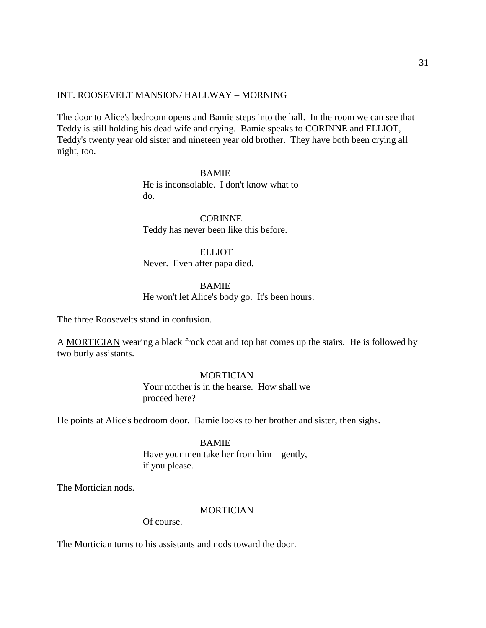### INT. ROOSEVELT MANSION/ HALLWAY – MORNING

The door to Alice's bedroom opens and Bamie steps into the hall. In the room we can see that Teddy is still holding his dead wife and crying. Bamie speaks to CORINNE and ELLIOT, Teddy's twenty year old sister and nineteen year old brother. They have both been crying all night, too.

> BAMIE He is inconsolable. I don't know what to do.

CORINNE Teddy has never been like this before.

ELLIOT Never. Even after papa died.

# BAMIE

He won't let Alice's body go. It's been hours.

The three Roosevelts stand in confusion.

A MORTICIAN wearing a black frock coat and top hat comes up the stairs. He is followed by two burly assistants.

# **MORTICIAN**

Your mother is in the hearse. How shall we proceed here?

He points at Alice's bedroom door. Bamie looks to her brother and sister, then sighs.

#### BAMIE

Have your men take her from him – gently, if you please.

The Mortician nods.

# MORTICIAN

Of course.

The Mortician turns to his assistants and nods toward the door.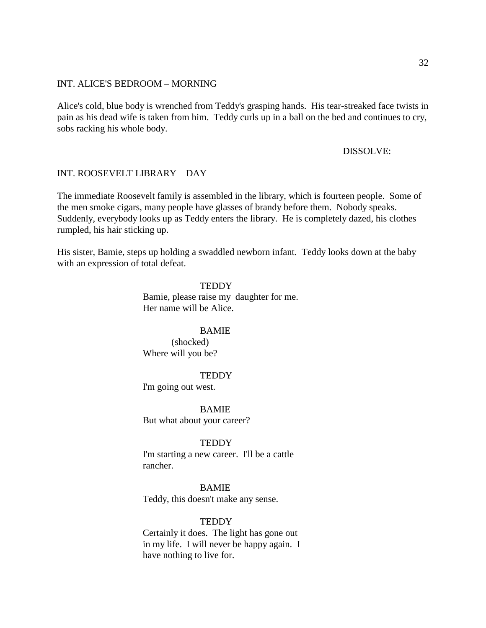### INT. ALICE'S BEDROOM – MORNING

Alice's cold, blue body is wrenched from Teddy's grasping hands. His tear-streaked face twists in pain as his dead wife is taken from him. Teddy curls up in a ball on the bed and continues to cry, sobs racking his whole body.

#### DISSOLVE:

#### INT. ROOSEVELT LIBRARY – DAY

The immediate Roosevelt family is assembled in the library, which is fourteen people. Some of the men smoke cigars, many people have glasses of brandy before them. Nobody speaks. Suddenly, everybody looks up as Teddy enters the library. He is completely dazed, his clothes rumpled, his hair sticking up.

His sister, Bamie, steps up holding a swaddled newborn infant. Teddy looks down at the baby with an expression of total defeat.

> **TEDDY** Bamie, please raise my daughter for me. Her name will be Alice.

#### **BAMIE**

(shocked) Where will you be?

### **TEDDY**

I'm going out west.

BAMIE But what about your career?

#### **TEDDY**

I'm starting a new career. I'll be a cattle rancher.

BAMIE Teddy, this doesn't make any sense.

#### **TEDDY**

Certainly it does. The light has gone out in my life. I will never be happy again. I have nothing to live for.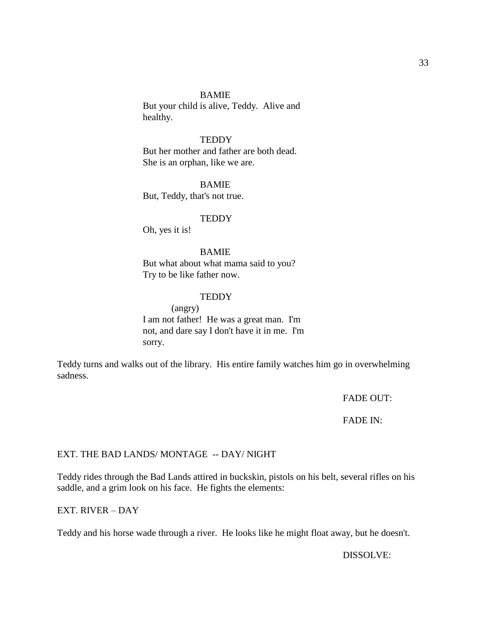#### BAMIE

But your child is alive, Teddy. Alive and healthy.

# **TEDDY**

But her mother and father are both dead. She is an orphan, like we are.

BAMIE But, Teddy, that's not true.

#### **TEDDY**

Oh, yes it is!

#### BAMIE

But what about what mama said to you? Try to be like father now.

### **TEDDY**

(angry) I am not father! He was a great man. I'm not, and dare say I don't have it in me. I'm sorry.

Teddy turns and walks out of the library. His entire family watches him go in overwhelming sadness.

FADE OUT:

# FADE IN:

# EXT. THE BAD LANDS/ MONTAGE -- DAY/ NIGHT

Teddy rides through the Bad Lands attired in buckskin, pistols on his belt, several rifles on his saddle, and a grim look on his face. He fights the elements:

# EXT. RIVER – DAY

Teddy and his horse wade through a river. He looks like he might float away, but he doesn't.

DISSOLVE: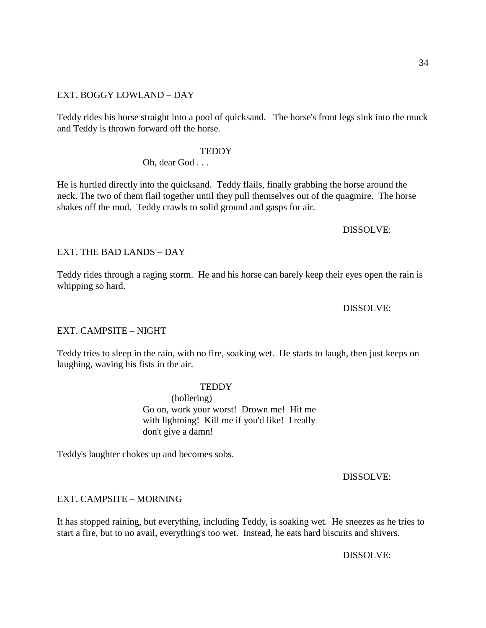### EXT. BOGGY LOWLAND – DAY

Teddy rides his horse straight into a pool of quicksand. The horse's front legs sink into the muck and Teddy is thrown forward off the horse.

### **TEDDY**

### Oh, dear God . . .

He is hurtled directly into the quicksand. Teddy flails, finally grabbing the horse around the neck. The two of them flail together until they pull themselves out of the quagmire. The horse shakes off the mud. Teddy crawls to solid ground and gasps for air.

### DISSOLVE:

### EXT. THE BAD LANDS – DAY

Teddy rides through a raging storm. He and his horse can barely keep their eyes open the rain is whipping so hard.

### DISSOLVE:

### EXT. CAMPSITE – NIGHT

Teddy tries to sleep in the rain, with no fire, soaking wet. He starts to laugh, then just keeps on laughing, waving his fists in the air.

#### **TEDDY**

(hollering) Go on, work your worst! Drown me! Hit me with lightning! Kill me if you'd like! I really don't give a damn!

Teddy's laughter chokes up and becomes sobs.

# DISSOLVE:

### EXT. CAMPSITE – MORNING

It has stopped raining, but everything, including Teddy, is soaking wet. He sneezes as he tries to start a fire, but to no avail, everything's too wet. Instead, he eats hard biscuits and shivers.

### DISSOLVE: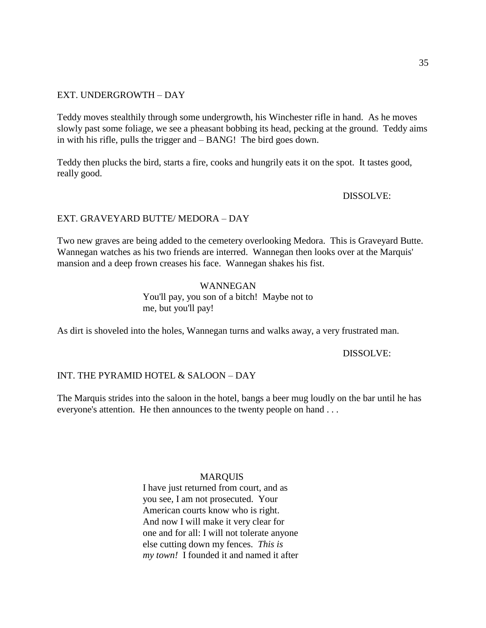# EXT. UNDERGROWTH – DAY

Teddy moves stealthily through some undergrowth, his Winchester rifle in hand. As he moves slowly past some foliage, we see a pheasant bobbing its head, pecking at the ground. Teddy aims in with his rifle, pulls the trigger and – BANG! The bird goes down.

Teddy then plucks the bird, starts a fire, cooks and hungrily eats it on the spot. It tastes good, really good.

DISSOLVE:

# EXT. GRAVEYARD BUTTE/ MEDORA – DAY

Two new graves are being added to the cemetery overlooking Medora. This is Graveyard Butte. Wannegan watches as his two friends are interred. Wannegan then looks over at the Marquis' mansion and a deep frown creases his face. Wannegan shakes his fist.

# WANNEGAN You'll pay, you son of a bitch! Maybe not to me, but you'll pay!

As dirt is shoveled into the holes, Wannegan turns and walks away, a very frustrated man.

DISSOLVE:

# INT. THE PYRAMID HOTEL & SALOON – DAY

The Marquis strides into the saloon in the hotel, bangs a beer mug loudly on the bar until he has everyone's attention. He then announces to the twenty people on hand . . .

# MARQUIS

I have just returned from court, and as you see, I am not prosecuted. Your American courts know who is right. And now I will make it very clear for one and for all: I will not tolerate anyone else cutting down my fences. *This is my town!* I founded it and named it after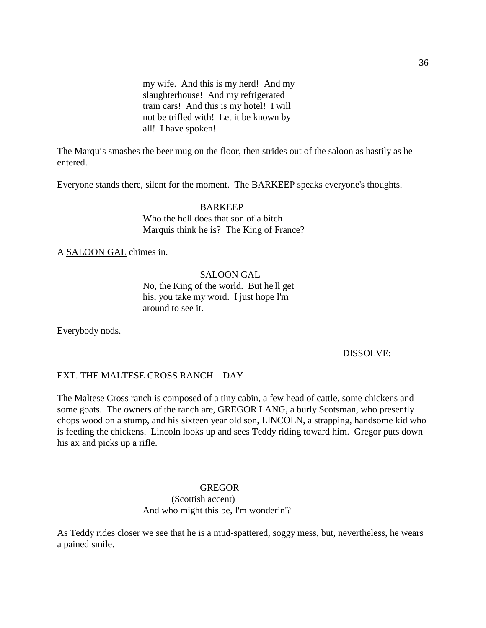my wife. And this is my herd! And my slaughterhouse! And my refrigerated train cars! And this is my hotel! I will not be trifled with! Let it be known by all! I have spoken!

The Marquis smashes the beer mug on the floor, then strides out of the saloon as hastily as he entered.

Everyone stands there, silent for the moment. The BARKEEP speaks everyone's thoughts.

BARKEEP Who the hell does that son of a bitch Marquis think he is? The King of France?

A SALOON GAL chimes in.

SALOON GAL No, the King of the world. But he'll get his, you take my word. I just hope I'm around to see it.

Everybody nods.

DISSOLVE:

# EXT. THE MALTESE CROSS RANCH – DAY

The Maltese Cross ranch is composed of a tiny cabin, a few head of cattle, some chickens and some goats. The owners of the ranch are, **GREGOR LANG**, a burly Scotsman, who presently chops wood on a stump, and his sixteen year old son, LINCOLN, a strapping, handsome kid who is feeding the chickens. Lincoln looks up and sees Teddy riding toward him. Gregor puts down his ax and picks up a rifle.

> GREGOR (Scottish accent) And who might this be, I'm wonderin'?

As Teddy rides closer we see that he is a mud-spattered, soggy mess, but, nevertheless, he wears a pained smile.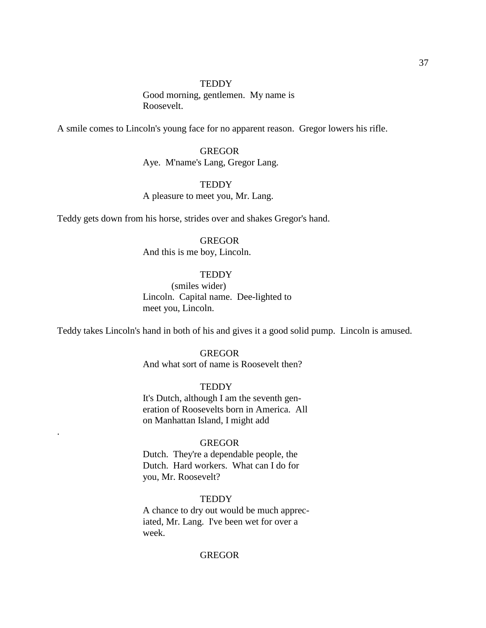#### **TEDDY**

Good morning, gentlemen. My name is Roosevelt.

A smile comes to Lincoln's young face for no apparent reason. Gregor lowers his rifle.

# **GREGOR** Aye. M'name's Lang, Gregor Lang.

## **TEDDY**

A pleasure to meet you, Mr. Lang.

Teddy gets down from his horse, strides over and shakes Gregor's hand.

## **GREGOR**

And this is me boy, Lincoln.

# **TEDDY**

(smiles wider) Lincoln. Capital name. Dee-lighted to meet you, Lincoln.

Teddy takes Lincoln's hand in both of his and gives it a good solid pump. Lincoln is amused.

# GREGOR

And what sort of name is Roosevelt then?

#### **TEDDY**

It's Dutch, although I am the seventh generation of Roosevelts born in America. All on Manhattan Island, I might add

## GREGOR

.

Dutch. They're a dependable people, the Dutch. Hard workers. What can I do for you, Mr. Roosevelt?

#### **TEDDY**

A chance to dry out would be much appreciated, Mr. Lang. I've been wet for over a week.

#### **GREGOR**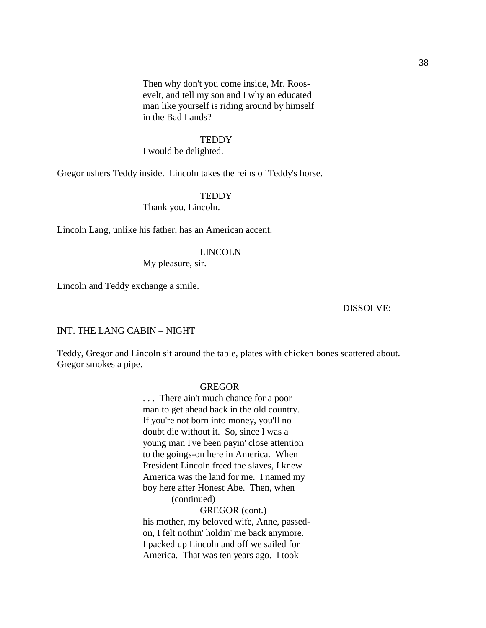Then why don't you come inside, Mr. Roosevelt, and tell my son and I why an educated man like yourself is riding around by himself in the Bad Lands?

#### **TEDDY**

I would be delighted.

Gregor ushers Teddy inside. Lincoln takes the reins of Teddy's horse.

## **TEDDY**

Thank you, Lincoln.

Lincoln Lang, unlike his father, has an American accent.

#### LINCOLN

My pleasure, sir.

Lincoln and Teddy exchange a smile.

## DISSOLVE:

#### INT. THE LANG CABIN – NIGHT

Teddy, Gregor and Lincoln sit around the table, plates with chicken bones scattered about. Gregor smokes a pipe.

#### GREGOR

. . . There ain't much chance for a poor man to get ahead back in the old country. If you're not born into money, you'll no doubt die without it. So, since I was a young man I've been payin' close attention to the goings-on here in America. When President Lincoln freed the slaves, I knew America was the land for me. I named my boy here after Honest Abe. Then, when (continued)

# GREGOR (cont.)

his mother, my beloved wife, Anne, passedon, I felt nothin' holdin' me back anymore. I packed up Lincoln and off we sailed for America. That was ten years ago. I took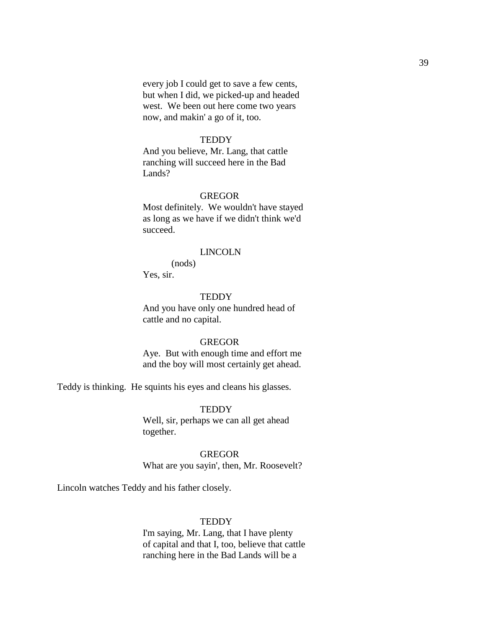every job I could get to save a few cents, but when I did, we picked-up and headed west. We been out here come two years now, and makin' a go of it, too.

## **TEDDY**

And you believe, Mr. Lang, that cattle ranching will succeed here in the Bad Lands?

## GREGOR

Most definitely. We wouldn't have stayed as long as we have if we didn't think we'd succeed.

#### LINCOLN

(nods) Yes, sir.

#### **TEDDY**

And you have only one hundred head of cattle and no capital.

#### **GREGOR**

Aye. But with enough time and effort me and the boy will most certainly get ahead.

Teddy is thinking. He squints his eyes and cleans his glasses.

**TEDDY** Well, sir, perhaps we can all get ahead together.

#### GREGOR

What are you sayin', then, Mr. Roosevelt?

Lincoln watches Teddy and his father closely.

#### **TEDDY**

I'm saying, Mr. Lang, that I have plenty of capital and that I, too, believe that cattle ranching here in the Bad Lands will be a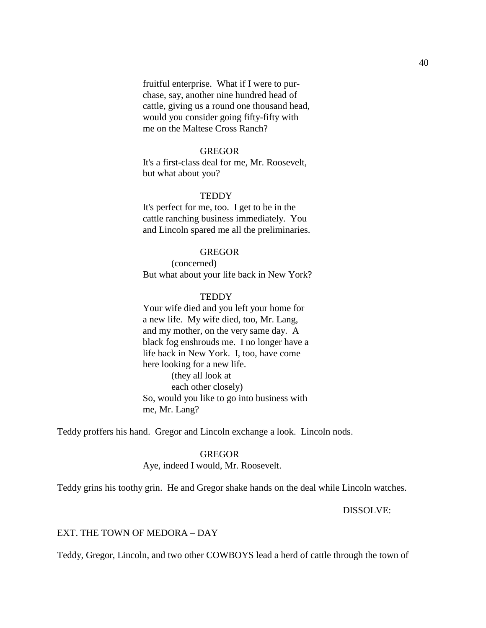fruitful enterprise. What if I were to purchase, say, another nine hundred head of cattle, giving us a round one thousand head, would you consider going fifty-fifty with me on the Maltese Cross Ranch?

#### **GREGOR**

It's a first-class deal for me, Mr. Roosevelt, but what about you?

## **TEDDY**

It's perfect for me, too. I get to be in the cattle ranching business immediately. You and Lincoln spared me all the preliminaries.

## GREGOR

(concerned) But what about your life back in New York?

#### **TEDDY**

Your wife died and you left your home for a new life. My wife died, too, Mr. Lang, and my mother, on the very same day. A black fog enshrouds me. I no longer have a life back in New York. I, too, have come here looking for a new life. (they all look at each other closely) So, would you like to go into business with me, Mr. Lang?

Teddy proffers his hand. Gregor and Lincoln exchange a look. Lincoln nods.

## GREGOR

Aye, indeed I would, Mr. Roosevelt.

Teddy grins his toothy grin. He and Gregor shake hands on the deal while Lincoln watches.

DISSOLVE:

## EXT. THE TOWN OF MEDORA – DAY

Teddy, Gregor, Lincoln, and two other COWBOYS lead a herd of cattle through the town of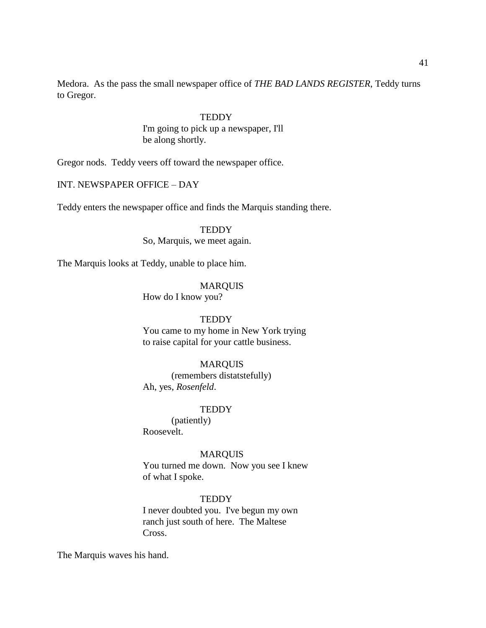Medora. As the pass the small newspaper office of *THE BAD LANDS REGISTER*, Teddy turns to Gregor.

> **TEDDY** I'm going to pick up a newspaper, I'll be along shortly.

Gregor nods. Teddy veers off toward the newspaper office.

# INT. NEWSPAPER OFFICE – DAY

Teddy enters the newspaper office and finds the Marquis standing there.

**TEDDY** 

So, Marquis, we meet again.

The Marquis looks at Teddy, unable to place him.

MARQUIS

How do I know you?

## **TEDDY**

You came to my home in New York trying to raise capital for your cattle business.

#### MARQUIS

(remembers distatstefully) Ah, yes, *Rosenfeld*.

#### **TEDDY**

(patiently) Roosevelt.

## MARQUIS

You turned me down. Now you see I knew of what I spoke.

## **TEDDY**

I never doubted you. I've begun my own ranch just south of here. The Maltese Cross.

The Marquis waves his hand.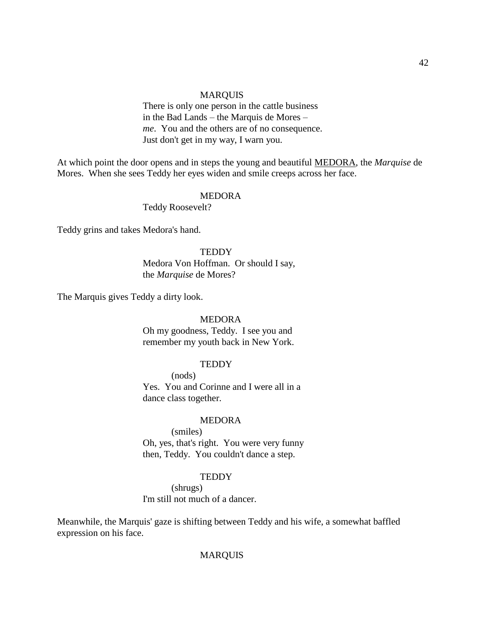## MARQUIS

There is only one person in the cattle business in the Bad Lands – the Marquis de Mores – *me*. You and the others are of no consequence. Just don't get in my way, I warn you.

At which point the door opens and in steps the young and beautiful MEDORA, the *Marquise* de Mores. When she sees Teddy her eyes widen and smile creeps across her face.

## MEDORA

Teddy Roosevelt?

Teddy grins and takes Medora's hand.

#### **TEDDY**

Medora Von Hoffman. Or should I say, the *Marquise* de Mores?

The Marquis gives Teddy a dirty look.

## MEDORA

Oh my goodness, Teddy. I see you and remember my youth back in New York.

#### **TEDDY**

(nods) Yes. You and Corinne and I were all in a dance class together.

## MEDORA

(smiles) Oh, yes, that's right. You were very funny then, Teddy. You couldn't dance a step.

#### **TEDDY**

(shrugs) I'm still not much of a dancer.

Meanwhile, the Marquis' gaze is shifting between Teddy and his wife, a somewhat baffled expression on his face.

## MARQUIS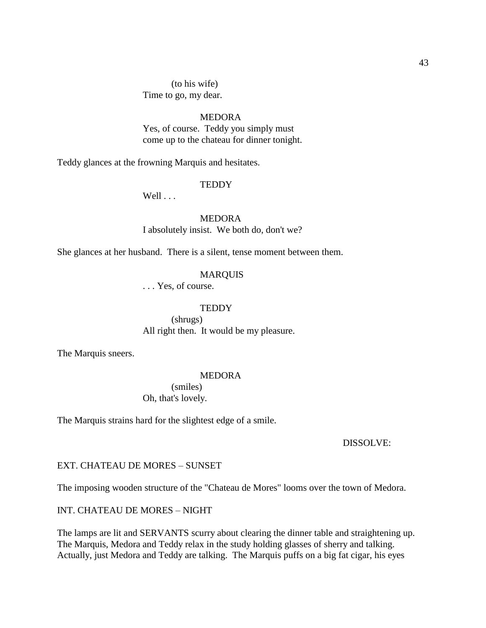(to his wife) Time to go, my dear.

# MEDORA

Yes, of course. Teddy you simply must come up to the chateau for dinner tonight.

Teddy glances at the frowning Marquis and hesitates.

#### **TEDDY**

Well . . .

MEDORA I absolutely insist. We both do, don't we?

She glances at her husband. There is a silent, tense moment between them.

## MARQUIS

. . . Yes, of course.

#### **TEDDY**

(shrugs) All right then. It would be my pleasure.

The Marquis sneers.

#### MEDORA

(smiles) Oh, that's lovely.

The Marquis strains hard for the slightest edge of a smile.

#### DISSOLVE:

#### EXT. CHATEAU DE MORES – SUNSET

The imposing wooden structure of the "Chateau de Mores" looms over the town of Medora.

INT. CHATEAU DE MORES – NIGHT

The lamps are lit and SERVANTS scurry about clearing the dinner table and straightening up. The Marquis, Medora and Teddy relax in the study holding glasses of sherry and talking. Actually, just Medora and Teddy are talking. The Marquis puffs on a big fat cigar, his eyes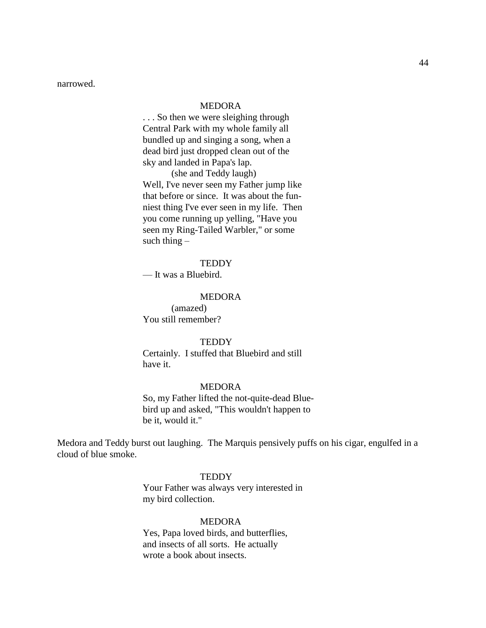narrowed.

## MEDORA

. . . So then we were sleighing through Central Park with my whole family all bundled up and singing a song, when a dead bird just dropped clean out of the sky and landed in Papa's lap.

(she and Teddy laugh) Well, I've never seen my Father jump like that before or since. It was about the funniest thing I've ever seen in my life. Then you come running up yelling, "Have you seen my Ring-Tailed Warbler," or some such thing  $-$ 

## **TEDDY**

— It was a Bluebird.

#### MEDORA

(amazed) You still remember?

#### **TEDDY**

Certainly. I stuffed that Bluebird and still have it.

#### MEDORA

So, my Father lifted the not-quite-dead Bluebird up and asked, "This wouldn't happen to be it, would it."

Medora and Teddy burst out laughing. The Marquis pensively puffs on his cigar, engulfed in a cloud of blue smoke.

## **TEDDY**

Your Father was always very interested in my bird collection.

#### MEDORA

Yes, Papa loved birds, and butterflies, and insects of all sorts. He actually wrote a book about insects.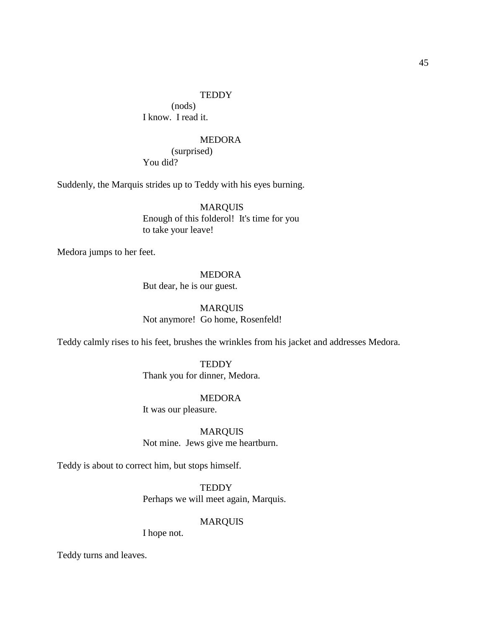#### **TEDDY**

(nods) I know. I read it.

## MEDORA

(surprised) You did?

Suddenly, the Marquis strides up to Teddy with his eyes burning.

MARQUIS Enough of this folderol! It's time for you to take your leave!

Medora jumps to her feet.

# MEDORA

But dear, he is our guest.

MARQUIS Not anymore! Go home, Rosenfeld!

Teddy calmly rises to his feet, brushes the wrinkles from his jacket and addresses Medora.

**TEDDY** Thank you for dinner, Medora.

## MEDORA

It was our pleasure.

MARQUIS Not mine. Jews give me heartburn.

Teddy is about to correct him, but stops himself.

**TEDDY** Perhaps we will meet again, Marquis.

#### MARQUIS

I hope not.

Teddy turns and leaves.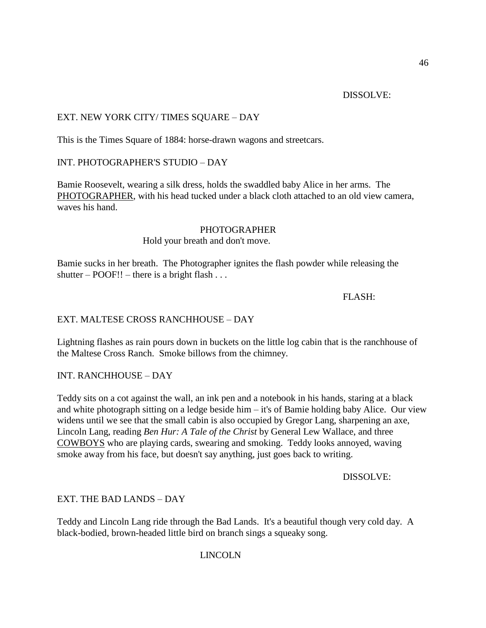## DISSOLVE:

# EXT. NEW YORK CITY/ TIMES SQUARE – DAY

This is the Times Square of 1884: horse-drawn wagons and streetcars.

# INT. PHOTOGRAPHER'S STUDIO – DAY

Bamie Roosevelt, wearing a silk dress, holds the swaddled baby Alice in her arms. The PHOTOGRAPHER, with his head tucked under a black cloth attached to an old view camera, waves his hand.

# PHOTOGRAPHER

## Hold your breath and don't move.

Bamie sucks in her breath. The Photographer ignites the flash powder while releasing the shutter –  $POOF!!$  – there is a bright flash ...

## FLASH:

# EXT. MALTESE CROSS RANCHHOUSE – DAY

Lightning flashes as rain pours down in buckets on the little log cabin that is the ranchhouse of the Maltese Cross Ranch. Smoke billows from the chimney.

# INT. RANCHHOUSE – DAY

Teddy sits on a cot against the wall, an ink pen and a notebook in his hands, staring at a black and white photograph sitting on a ledge beside him – it's of Bamie holding baby Alice. Our view widens until we see that the small cabin is also occupied by Gregor Lang, sharpening an axe, Lincoln Lang, reading *Ben Hur: A Tale of the Christ* by General Lew Wallace, and three COWBOYS who are playing cards, swearing and smoking. Teddy looks annoyed, waving smoke away from his face, but doesn't say anything, just goes back to writing.

DISSOLVE:

# EXT. THE BAD LANDS – DAY

Teddy and Lincoln Lang ride through the Bad Lands. It's a beautiful though very cold day. A black-bodied, brown-headed little bird on branch sings a squeaky song.

# LINCOLN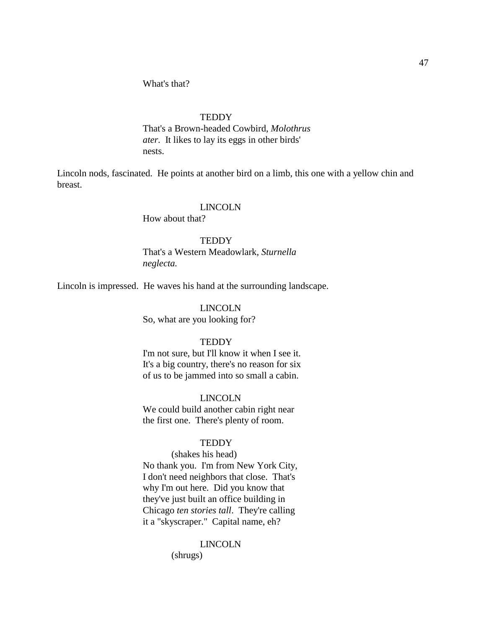## **TEDDY**

That's a Brown-headed Cowbird, *Molothrus ater.* It likes to lay its eggs in other birds' nests.

Lincoln nods, fascinated. He points at another bird on a limb, this one with a yellow chin and breast.

#### LINCOLN

How about that?

#### **TEDDY**

That's a Western Meadowlark, *Sturnella neglecta.*

Lincoln is impressed. He waves his hand at the surrounding landscape.

#### LINCOLN

So, what are you looking for?

#### **TEDDY**

I'm not sure, but I'll know it when I see it. It's a big country, there's no reason for six of us to be jammed into so small a cabin.

#### LINCOLN

We could build another cabin right near the first one. There's plenty of room.

## **TEDDY**

## (shakes his head)

No thank you. I'm from New York City, I don't need neighbors that close. That's why I'm out here. Did you know that they've just built an office building in Chicago *ten stories tall*. They're calling it a "skyscraper." Capital name, eh?

#### LINCOLN

(shrugs)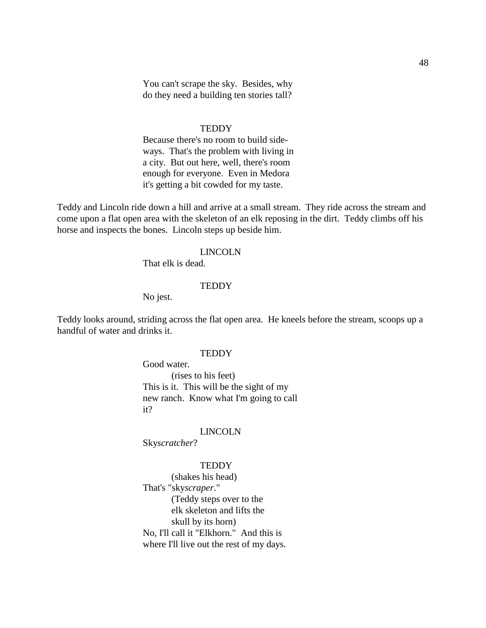You can't scrape the sky. Besides, why do they need a building ten stories tall?

#### **TEDDY**

Because there's no room to build sideways. That's the problem with living in a city. But out here, well, there's room enough for everyone. Even in Medora it's getting a bit cowded for my taste.

Teddy and Lincoln ride down a hill and arrive at a small stream. They ride across the stream and come upon a flat open area with the skeleton of an elk reposing in the dirt. Teddy climbs off his horse and inspects the bones. Lincoln steps up beside him.

#### LINCOLN

That elk is dead.

#### **TEDDY**

No jest.

Teddy looks around, striding across the flat open area. He kneels before the stream, scoops up a handful of water and drinks it.

## **TEDDY**

Good water. (rises to his feet) This is it. This will be the sight of my new ranch. Know what I'm going to call it?

## LINCOLN

Sky*scratcher*?

#### **TEDDY**

(shakes his head) That's "sky*scraper*." (Teddy steps over to the elk skeleton and lifts the skull by its horn) No, I'll call it "Elkhorn." And this is where I'll live out the rest of my days.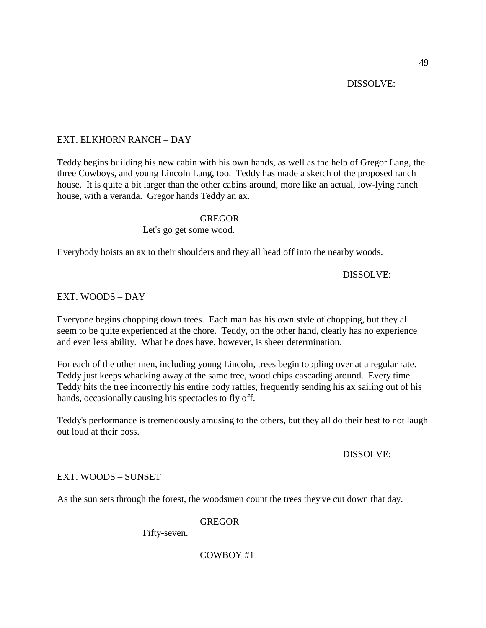## DISSOLVE:

# EXT. ELKHORN RANCH – DAY

Teddy begins building his new cabin with his own hands, as well as the help of Gregor Lang, the three Cowboys, and young Lincoln Lang, too. Teddy has made a sketch of the proposed ranch house. It is quite a bit larger than the other cabins around, more like an actual, low-lying ranch house, with a veranda. Gregor hands Teddy an ax.

## GREGOR

## Let's go get some wood.

Everybody hoists an ax to their shoulders and they all head off into the nearby woods.

## DISSOLVE:

## EXT. WOODS – DAY

Everyone begins chopping down trees. Each man has his own style of chopping, but they all seem to be quite experienced at the chore. Teddy, on the other hand, clearly has no experience and even less ability. What he does have, however, is sheer determination.

For each of the other men, including young Lincoln, trees begin toppling over at a regular rate. Teddy just keeps whacking away at the same tree, wood chips cascading around. Every time Teddy hits the tree incorrectly his entire body rattles, frequently sending his ax sailing out of his hands, occasionally causing his spectacles to fly off.

Teddy's performance is tremendously amusing to the others, but they all do their best to not laugh out loud at their boss.

## DISSOLVE:

## EXT. WOODS – SUNSET

As the sun sets through the forest, the woodsmen count the trees they've cut down that day.

## **GREGOR**

Fifty-seven.

## COWBOY #1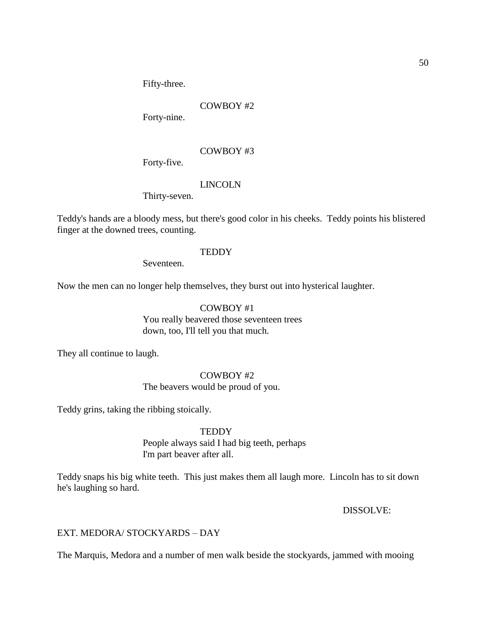Fifty-three.

# COWBOY #2

Forty-nine.

# COWBOY #3

Forty-five.

# LINCOLN

Thirty-seven.

Teddy's hands are a bloody mess, but there's good color in his cheeks. Teddy points his blistered finger at the downed trees, counting.

## **TEDDY**

Seventeen.

Now the men can no longer help themselves, they burst out into hysterical laughter.

# COWBOY #1 You really beavered those seventeen trees down, too, I'll tell you that much.

They all continue to laugh.

# COWBOY #2

# The beavers would be proud of you.

Teddy grins, taking the ribbing stoically.

# **TEDDY**

People always said I had big teeth, perhaps I'm part beaver after all.

Teddy snaps his big white teeth. This just makes them all laugh more. Lincoln has to sit down he's laughing so hard.

DISSOLVE:

# EXT. MEDORA/ STOCKYARDS – DAY

The Marquis, Medora and a number of men walk beside the stockyards, jammed with mooing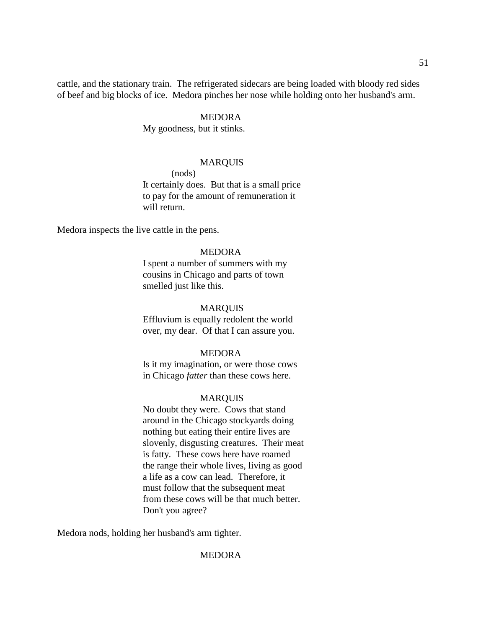cattle, and the stationary train. The refrigerated sidecars are being loaded with bloody red sides of beef and big blocks of ice. Medora pinches her nose while holding onto her husband's arm.

## MEDORA

My goodness, but it stinks.

## MARQUIS

(nods)

It certainly does. But that is a small price to pay for the amount of remuneration it will return.

Medora inspects the live cattle in the pens.

## MEDORA

I spent a number of summers with my cousins in Chicago and parts of town smelled just like this.

#### MARQUIS

Effluvium is equally redolent the world over, my dear. Of that I can assure you.

## MEDORA

Is it my imagination, or were those cows in Chicago *fatter* than these cows here.

#### MARQUIS

No doubt they were. Cows that stand around in the Chicago stockyards doing nothing but eating their entire lives are slovenly, disgusting creatures. Their meat is fatty. These cows here have roamed the range their whole lives, living as good a life as a cow can lead. Therefore, it must follow that the subsequent meat from these cows will be that much better. Don't you agree?

Medora nods, holding her husband's arm tighter.

## **MEDORA**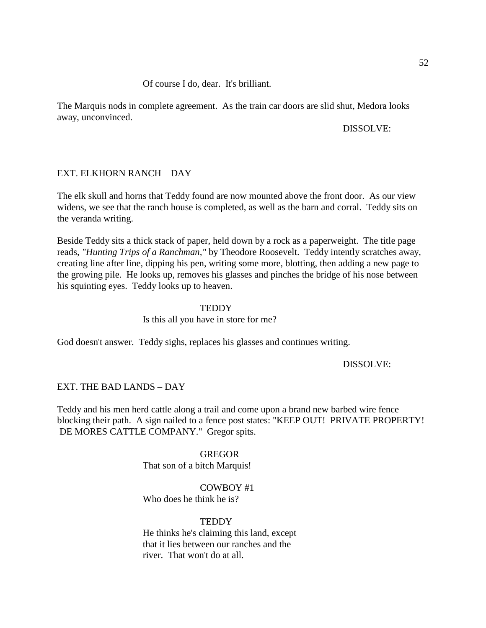## Of course I do, dear. It's brilliant.

The Marquis nods in complete agreement. As the train car doors are slid shut, Medora looks away, unconvinced.

## DISSOLVE:

## EXT. ELKHORN RANCH – DAY

The elk skull and horns that Teddy found are now mounted above the front door. As our view widens, we see that the ranch house is completed, as well as the barn and corral. Teddy sits on the veranda writing.

Beside Teddy sits a thick stack of paper, held down by a rock as a paperweight. The title page reads, *"Hunting Trips of a Ranchman,"* by Theodore Roosevelt. Teddy intently scratches away, creating line after line, dipping his pen, writing some more, blotting, then adding a new page to the growing pile. He looks up, removes his glasses and pinches the bridge of his nose between his squinting eyes. Teddy looks up to heaven.

## **TEDDY**

Is this all you have in store for me?

God doesn't answer. Teddy sighs, replaces his glasses and continues writing.

DISSOLVE:

## EXT. THE BAD LANDS – DAY

Teddy and his men herd cattle along a trail and come upon a brand new barbed wire fence blocking their path. A sign nailed to a fence post states: "KEEP OUT! PRIVATE PROPERTY! DE MORES CATTLE COMPANY." Gregor spits.

# GREGOR

That son of a bitch Marquis!

# COWBOY #1

Who does he think he is?

## **TEDDY**

He thinks he's claiming this land, except that it lies between our ranches and the river. That won't do at all.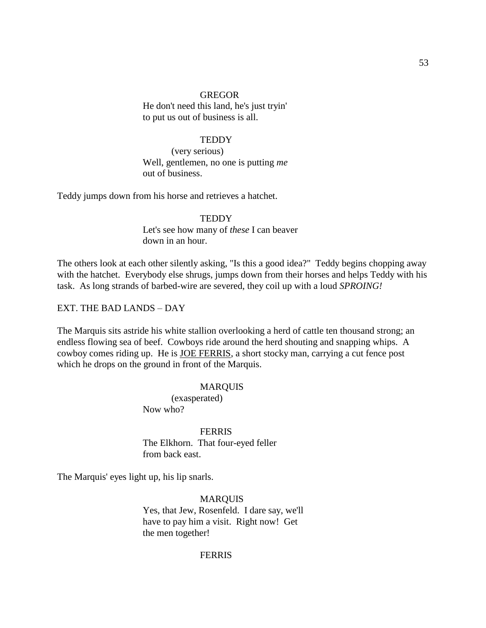#### GREGOR

He don't need this land, he's just tryin' to put us out of business is all.

## **TEDDY**

(very serious) Well, gentlemen, no one is putting *me*  out of business.

Teddy jumps down from his horse and retrieves a hatchet.

**TEDDY** Let's see how many of *these* I can beaver down in an hour.

The others look at each other silently asking, "Is this a good idea?" Teddy begins chopping away with the hatchet. Everybody else shrugs, jumps down from their horses and helps Teddy with his task. As long strands of barbed-wire are severed, they coil up with a loud *SPROING!*

#### EXT. THE BAD LANDS – DAY

The Marquis sits astride his white stallion overlooking a herd of cattle ten thousand strong; an endless flowing sea of beef. Cowboys ride around the herd shouting and snapping whips. A cowboy comes riding up. He is JOE FERRIS, a short stocky man, carrying a cut fence post which he drops on the ground in front of the Marquis.

#### MARQUIS

(exasperated) Now who?

FERRIS The Elkhorn. That four-eyed feller from back east.

The Marquis' eyes light up, his lip snarls.

MARQUIS Yes, that Jew, Rosenfeld. I dare say, we'll have to pay him a visit. Right now! Get the men together!

## **FERRIS**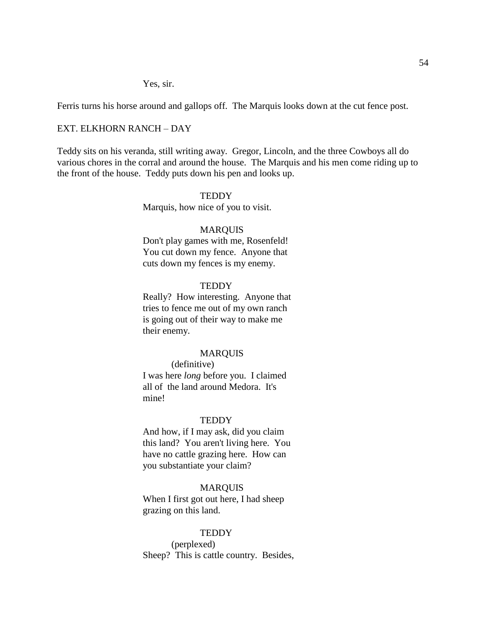Yes, sir.

Ferris turns his horse around and gallops off. The Marquis looks down at the cut fence post.

# EXT. ELKHORN RANCH – DAY

Teddy sits on his veranda, still writing away. Gregor, Lincoln, and the three Cowboys all do various chores in the corral and around the house. The Marquis and his men come riding up to the front of the house. Teddy puts down his pen and looks up.

#### **TEDDY**

Marquis, how nice of you to visit.

## MARQUIS

Don't play games with me, Rosenfeld! You cut down my fence. Anyone that cuts down my fences is my enemy.

## **TEDDY**

Really? How interesting. Anyone that tries to fence me out of my own ranch is going out of their way to make me their enemy.

## MARQUIS

(definitive) I was here *long* before you. I claimed all of the land around Medora. It's mine!

#### **TEDDY**

And how, if I may ask, did you claim this land? You aren't living here. You have no cattle grazing here. How can you substantiate your claim?

## MARQUIS

When I first got out here, I had sheep grazing on this land.

#### **TEDDY**

(perplexed) Sheep? This is cattle country. Besides,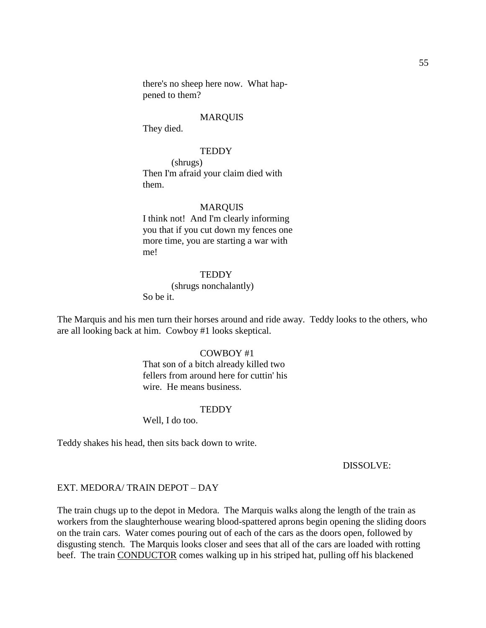there's no sheep here now. What happened to them?

## MARQUIS

They died.

## **TEDDY**

(shrugs) Then I'm afraid your claim died with them.

#### MARQUIS

I think not! And I'm clearly informing you that if you cut down my fences one more time, you are starting a war with me!

#### **TEDDY**

(shrugs nonchalantly) So be it.

The Marquis and his men turn their horses around and ride away. Teddy looks to the others, who are all looking back at him. Cowboy #1 looks skeptical.

# COWBOY #1

That son of a bitch already killed two fellers from around here for cuttin' his wire. He means business.

#### **TEDDY**

Well, I do too.

Teddy shakes his head, then sits back down to write.

#### DISSOLVE:

#### EXT. MEDORA/ TRAIN DEPOT – DAY

The train chugs up to the depot in Medora. The Marquis walks along the length of the train as workers from the slaughterhouse wearing blood-spattered aprons begin opening the sliding doors on the train cars. Water comes pouring out of each of the cars as the doors open, followed by disgusting stench. The Marquis looks closer and sees that all of the cars are loaded with rotting beef. The train CONDUCTOR comes walking up in his striped hat, pulling off his blackened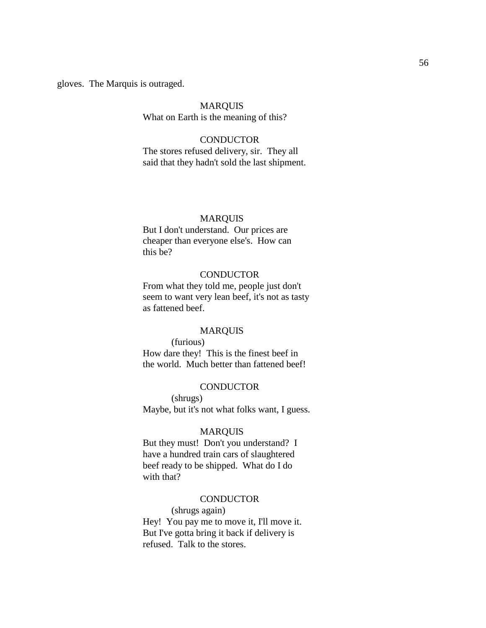gloves. The Marquis is outraged.

#### MARQUIS

What on Earth is the meaning of this?

# **CONDUCTOR**

The stores refused delivery, sir. They all said that they hadn't sold the last shipment.

## MARQUIS

But I don't understand. Our prices are cheaper than everyone else's. How can this be?

## **CONDUCTOR**

From what they told me, people just don't seem to want very lean beef, it's not as tasty as fattened beef.

#### MARQUIS

(furious) How dare they! This is the finest beef in the world. Much better than fattened beef!

#### **CONDUCTOR**

(shrugs) Maybe, but it's not what folks want, I guess.

#### MARQUIS

But they must! Don't you understand? I have a hundred train cars of slaughtered beef ready to be shipped. What do I do with that?

#### **CONDUCTOR**

(shrugs again) Hey! You pay me to move it, I'll move it. But I've gotta bring it back if delivery is refused. Talk to the stores.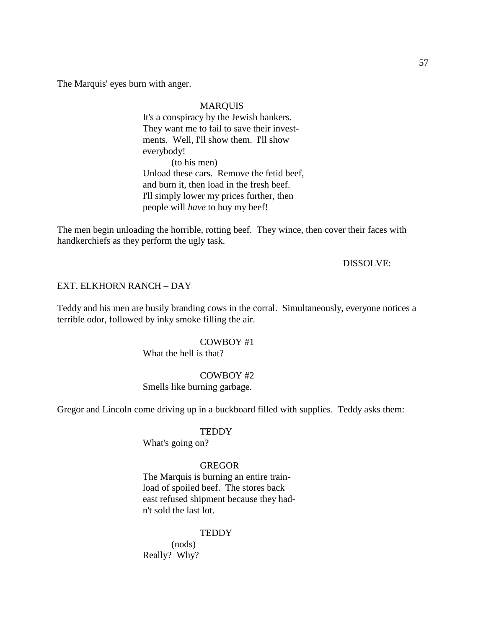The Marquis' eyes burn with anger.

## MARQUIS

It's a conspiracy by the Jewish bankers. They want me to fail to save their investments. Well, I'll show them. I'll show everybody! (to his men) Unload these cars. Remove the fetid beef, and burn it, then load in the fresh beef. I'll simply lower my prices further, then people will *have* to buy my beef!

The men begin unloading the horrible, rotting beef. They wince, then cover their faces with handkerchiefs as they perform the ugly task.

## DISSOLVE:

## EXT. ELKHORN RANCH – DAY

Teddy and his men are busily branding cows in the corral. Simultaneously, everyone notices a terrible odor, followed by inky smoke filling the air.

#### COWBOY #1

What the hell is that?

## COWBOY #2

Smells like burning garbage.

Gregor and Lincoln come driving up in a buckboard filled with supplies. Teddy asks them:

## **TEDDY**

What's going on?

#### GREGOR

The Marquis is burning an entire trainload of spoiled beef. The stores back east refused shipment because they hadn't sold the last lot.

## **TEDDY**

(nods) Really? Why?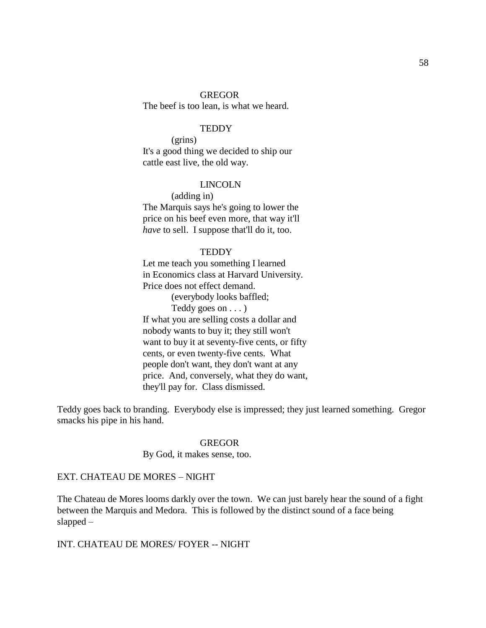#### GREGOR

The beef is too lean, is what we heard.

## **TEDDY**

(grins) It's a good thing we decided to ship our cattle east live, the old way.

#### LINCOLN

(adding in) The Marquis says he's going to lower the price on his beef even more, that way it'll *have* to sell. I suppose that'll do it, too.

#### **TEDDY**

Let me teach you something I learned in Economics class at Harvard University. Price does not effect demand. (everybody looks baffled; Teddy goes on . . . ) If what you are selling costs a dollar and nobody wants to buy it; they still won't want to buy it at seventy-five cents, or fifty cents, or even twenty-five cents. What people don't want, they don't want at any price. And, conversely, what they do want, they'll pay for. Class dismissed.

Teddy goes back to branding. Everybody else is impressed; they just learned something. Gregor smacks his pipe in his hand.

#### GREGOR

By God, it makes sense, too.

## EXT. CHATEAU DE MORES – NIGHT

The Chateau de Mores looms darkly over the town. We can just barely hear the sound of a fight between the Marquis and Medora. This is followed by the distinct sound of a face being slapped –

## INT. CHATEAU DE MORES/ FOYER -- NIGHT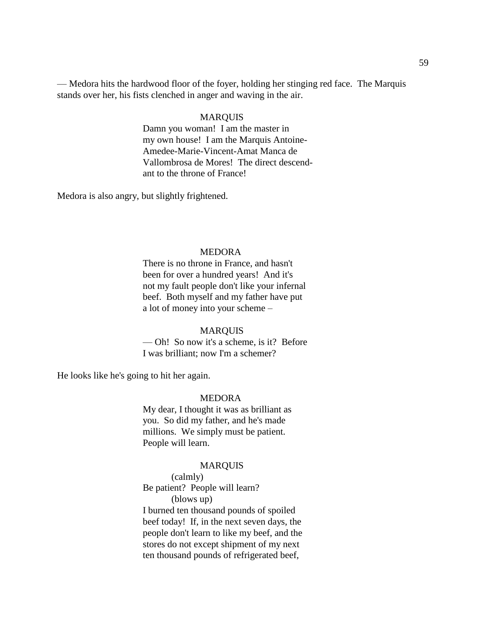— Medora hits the hardwood floor of the foyer, holding her stinging red face. The Marquis stands over her, his fists clenched in anger and waving in the air.

## MARQUIS

Damn you woman! I am the master in my own house! I am the Marquis Antoine-Amedee-Marie-Vincent-Amat Manca de Vallombrosa de Mores! The direct descendant to the throne of France!

Medora is also angry, but slightly frightened.

## MEDORA

There is no throne in France, and hasn't been for over a hundred years! And it's not my fault people don't like your infernal beef. Both myself and my father have put a lot of money into your scheme –

#### MARQUIS

— Oh! So now it's a scheme, is it? Before I was brilliant; now I'm a schemer?

He looks like he's going to hit her again.

#### MEDORA

My dear, I thought it was as brilliant as you. So did my father, and he's made millions. We simply must be patient. People will learn.

## MARQUIS

## (calmly)

Be patient? People will learn?

(blows up)

I burned ten thousand pounds of spoiled beef today! If, in the next seven days, the people don't learn to like my beef, and the stores do not except shipment of my next ten thousand pounds of refrigerated beef,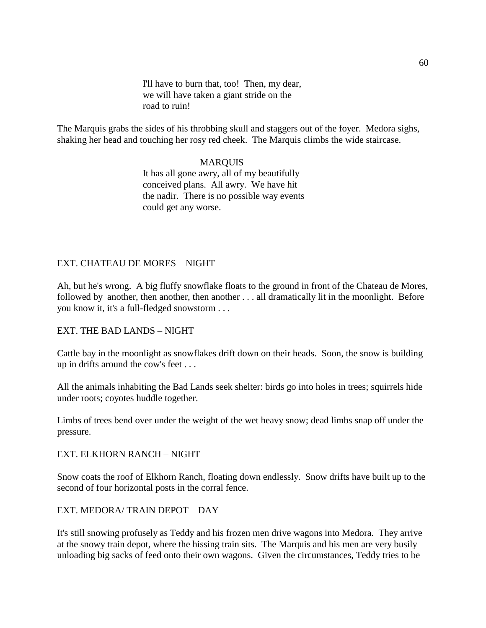I'll have to burn that, too! Then, my dear, we will have taken a giant stride on the road to ruin!

The Marquis grabs the sides of his throbbing skull and staggers out of the foyer. Medora sighs, shaking her head and touching her rosy red cheek. The Marquis climbs the wide staircase.

# MARQUIS

It has all gone awry, all of my beautifully conceived plans. All awry. We have hit the nadir. There is no possible way events could get any worse.

# EXT. CHATEAU DE MORES – NIGHT

Ah, but he's wrong. A big fluffy snowflake floats to the ground in front of the Chateau de Mores, followed by another, then another, then another . . . all dramatically lit in the moonlight. Before you know it, it's a full-fledged snowstorm . . .

# EXT. THE BAD LANDS – NIGHT

Cattle bay in the moonlight as snowflakes drift down on their heads. Soon, the snow is building up in drifts around the cow's feet . . .

All the animals inhabiting the Bad Lands seek shelter: birds go into holes in trees; squirrels hide under roots; coyotes huddle together.

Limbs of trees bend over under the weight of the wet heavy snow; dead limbs snap off under the pressure.

# EXT. ELKHORN RANCH – NIGHT

Snow coats the roof of Elkhorn Ranch, floating down endlessly. Snow drifts have built up to the second of four horizontal posts in the corral fence.

# EXT. MEDORA/ TRAIN DEPOT – DAY

It's still snowing profusely as Teddy and his frozen men drive wagons into Medora. They arrive at the snowy train depot, where the hissing train sits. The Marquis and his men are very busily unloading big sacks of feed onto their own wagons. Given the circumstances, Teddy tries to be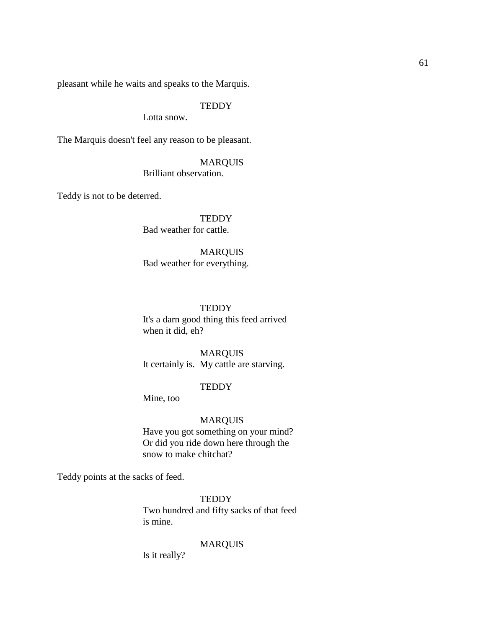pleasant while he waits and speaks to the Marquis.

# **TEDDY**

Lotta snow.

The Marquis doesn't feel any reason to be pleasant.

# MARQUIS

Brilliant observation.

Teddy is not to be deterred.

**TEDDY** Bad weather for cattle.

# MARQUIS

Bad weather for everything.

#### **TEDDY**

It's a darn good thing this feed arrived when it did, eh?

# MARQUIS

It certainly is. My cattle are starving.

## **TEDDY**

Mine, too

## MARQUIS

Have you got something on your mind? Or did you ride down here through the snow to make chitchat?

Teddy points at the sacks of feed.

**TEDDY** Two hundred and fifty sacks of that feed is mine.

## MARQUIS

Is it really?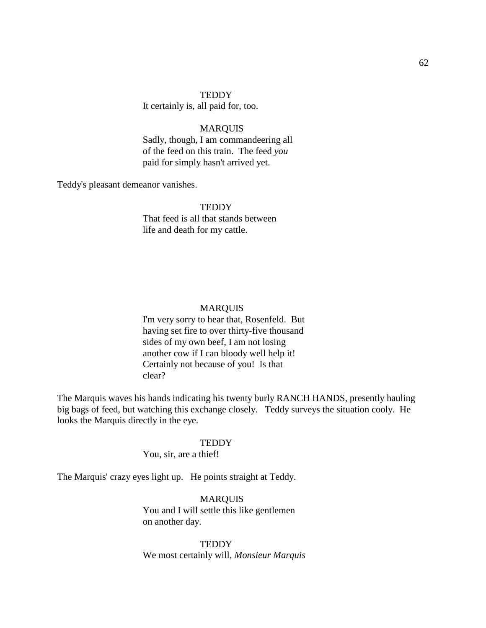#### **TEDDY**

It certainly is, all paid for, too.

## MARQUIS

Sadly, though, I am commandeering all of the feed on this train. The feed *you*  paid for simply hasn't arrived yet.

Teddy's pleasant demeanor vanishes.

#### **TEDDY**

That feed is all that stands between life and death for my cattle.

## MARQUIS

I'm very sorry to hear that, Rosenfeld. But having set fire to over thirty-five thousand sides of my own beef, I am not losing another cow if I can bloody well help it! Certainly not because of you! Is that clear?

The Marquis waves his hands indicating his twenty burly RANCH HANDS, presently hauling big bags of feed, but watching this exchange closely. Teddy surveys the situation cooly. He looks the Marquis directly in the eye.

#### **TEDDY**

You, sir, are a thief!

The Marquis' crazy eyes light up. He points straight at Teddy.

MARQUIS You and I will settle this like gentlemen on another day.

**TEDDY** We most certainly will, *Monsieur Marquis*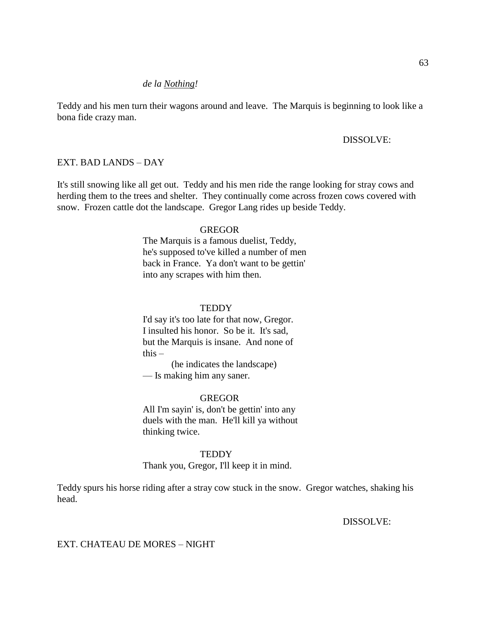## *de la Nothing!*

Teddy and his men turn their wagons around and leave. The Marquis is beginning to look like a bona fide crazy man.

## DISSOLVE:

## EXT. BAD LANDS – DAY

It's still snowing like all get out. Teddy and his men ride the range looking for stray cows and herding them to the trees and shelter. They continually come across frozen cows covered with snow. Frozen cattle dot the landscape. Gregor Lang rides up beside Teddy.

#### GREGOR

The Marquis is a famous duelist, Teddy, he's supposed to've killed a number of men back in France. Ya don't want to be gettin' into any scrapes with him then.

#### **TEDDY**

I'd say it's too late for that now, Gregor. I insulted his honor. So be it. It's sad, but the Marquis is insane. And none of this  $-$ 

(he indicates the landscape) — Is making him any saner.

#### GREGOR

All I'm sayin' is, don't be gettin' into any duels with the man. He'll kill ya without thinking twice.

#### **TEDDY**

Thank you, Gregor, I'll keep it in mind.

Teddy spurs his horse riding after a stray cow stuck in the snow. Gregor watches, shaking his head.

DISSOLVE:

## EXT. CHATEAU DE MORES – NIGHT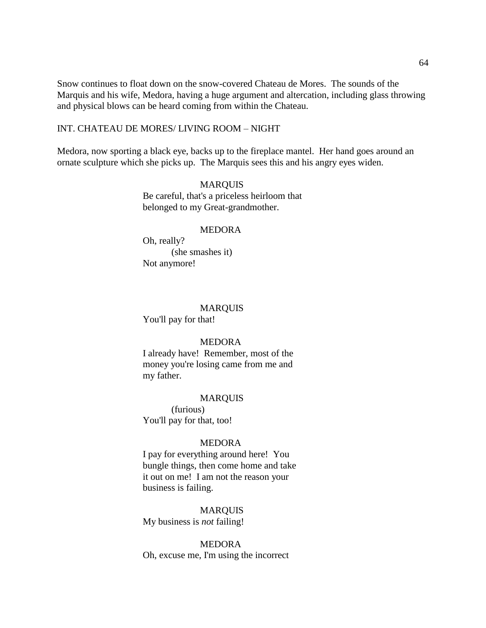Snow continues to float down on the snow-covered Chateau de Mores. The sounds of the Marquis and his wife, Medora, having a huge argument and altercation, including glass throwing and physical blows can be heard coming from within the Chateau.

## INT. CHATEAU DE MORES/ LIVING ROOM – NIGHT

Medora, now sporting a black eye, backs up to the fireplace mantel. Her hand goes around an ornate sculpture which she picks up. The Marquis sees this and his angry eyes widen.

#### MARQUIS

Be careful, that's a priceless heirloom that belonged to my Great-grandmother.

#### MEDORA

Oh, really? (she smashes it) Not anymore!

## MARQUIS

You'll pay for that!

#### MEDORA

I already have! Remember, most of the money you're losing came from me and my father.

#### MARQUIS

(furious) You'll pay for that, too!

#### MEDORA

I pay for everything around here! You bungle things, then come home and take it out on me! I am not the reason your business is failing.

## MARQUIS

My business is *not* failing!

## MEDORA

Oh, excuse me, I'm using the incorrect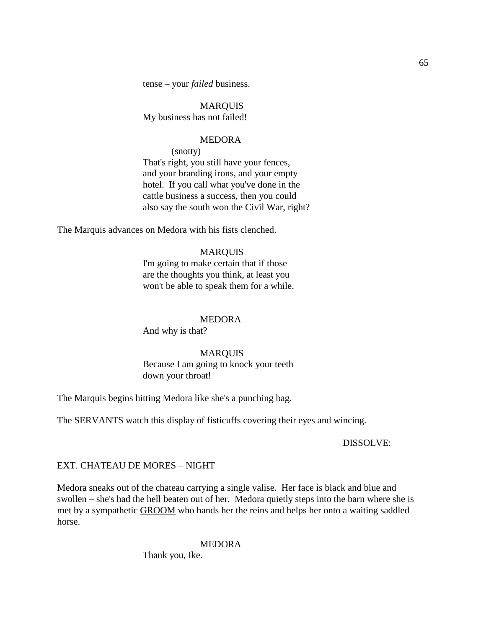tense – your *failed* business.

MARQUIS My business has not failed!

#### MEDORA

(snotty)

That's right, you still have your fences, and your branding irons, and your empty hotel. If you call what you've done in the cattle business a success, then you could also say the south won the Civil War, right?

The Marquis advances on Medora with his fists clenched.

## MARQUIS

I'm going to make certain that if those are the thoughts you think, at least you won't be able to speak them for a while.

#### MEDORA

And why is that?

## MARQUIS

Because I am going to knock your teeth down your throat!

The Marquis begins hitting Medora like she's a punching bag.

The SERVANTS watch this display of fisticuffs covering their eyes and wincing.

DISSOLVE:

## EXT. CHATEAU DE MORES – NIGHT

Medora sneaks out of the chateau carrying a single valise. Her face is black and blue and swollen – she's had the hell beaten out of her. Medora quietly steps into the barn where she is met by a sympathetic GROOM who hands her the reins and helps her onto a waiting saddled horse.

#### MEDORA

Thank you, Ike.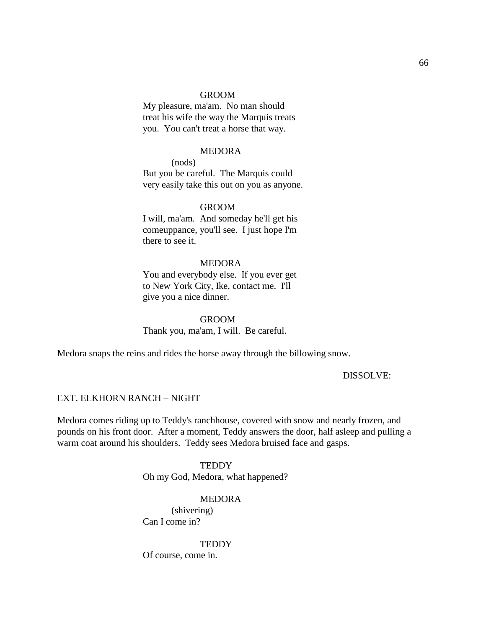#### GROOM

My pleasure, ma'am. No man should treat his wife the way the Marquis treats you. You can't treat a horse that way.

#### MEDORA

(nods) But you be careful. The Marquis could very easily take this out on you as anyone.

#### GROOM

I will, ma'am. And someday he'll get his comeuppance, you'll see. I just hope I'm there to see it.

## **MEDORA**

You and everybody else. If you ever get to New York City, Ike, contact me. I'll give you a nice dinner.

# GROOM Thank you, ma'am, I will. Be careful.

Medora snaps the reins and rides the horse away through the billowing snow.

## DISSOLVE:

## EXT. ELKHORN RANCH – NIGHT

Medora comes riding up to Teddy's ranchhouse, covered with snow and nearly frozen, and pounds on his front door. After a moment, Teddy answers the door, half asleep and pulling a warm coat around his shoulders. Teddy sees Medora bruised face and gasps.

#### **TEDDY**

Oh my God, Medora, what happened?

#### MEDORA

(shivering) Can I come in?

#### **TEDDY**

Of course, come in.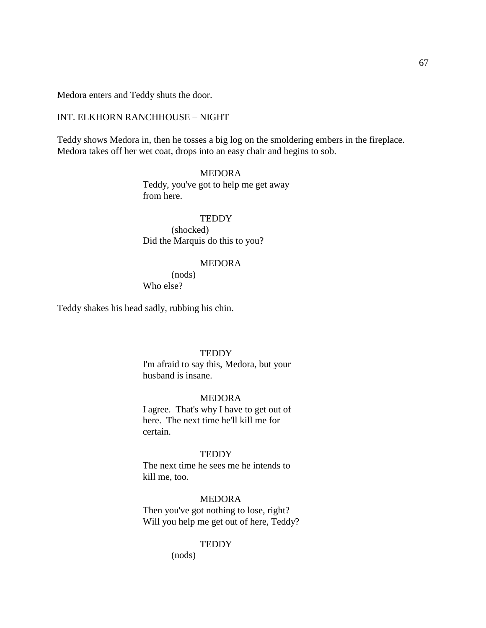Medora enters and Teddy shuts the door.

## INT. ELKHORN RANCHHOUSE – NIGHT

Teddy shows Medora in, then he tosses a big log on the smoldering embers in the fireplace. Medora takes off her wet coat, drops into an easy chair and begins to sob.

# MEDORA

Teddy, you've got to help me get away from here.

## **TEDDY**

(shocked) Did the Marquis do this to you?

## MEDORA

(nods) Who else?

Teddy shakes his head sadly, rubbing his chin.

## **TEDDY**

I'm afraid to say this, Medora, but your husband is insane.

#### MEDORA

I agree. That's why I have to get out of here. The next time he'll kill me for certain.

## **TEDDY**

The next time he sees me he intends to kill me, too.

# MEDORA

Then you've got nothing to lose, right? Will you help me get out of here, Teddy?

#### **TEDDY**

(nods)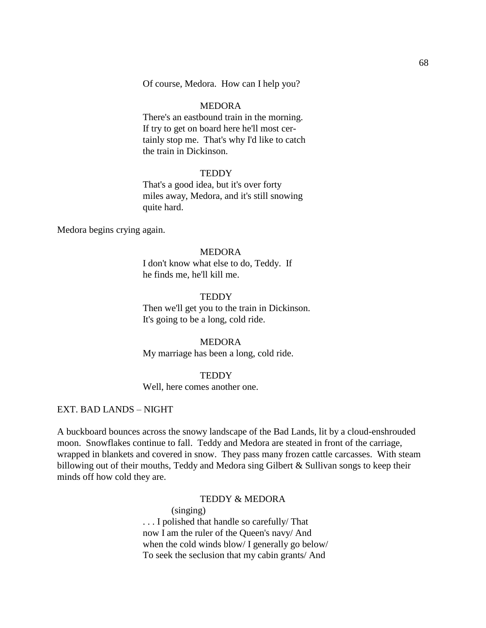Of course, Medora. How can I help you?

## MEDORA

There's an eastbound train in the morning. If try to get on board here he'll most certainly stop me. That's why I'd like to catch the train in Dickinson.

#### **TEDDY**

That's a good idea, but it's over forty miles away, Medora, and it's still snowing quite hard.

Medora begins crying again.

#### MEDORA

I don't know what else to do, Teddy. If he finds me, he'll kill me.

## **TEDDY**

Then we'll get you to the train in Dickinson. It's going to be a long, cold ride.

## MEDORA

My marriage has been a long, cold ride.

## **TEDDY**

Well, here comes another one.

## EXT. BAD LANDS – NIGHT

A buckboard bounces across the snowy landscape of the Bad Lands, lit by a cloud-enshrouded moon. Snowflakes continue to fall. Teddy and Medora are steated in front of the carriage, wrapped in blankets and covered in snow. They pass many frozen cattle carcasses. With steam billowing out of their mouths, Teddy and Medora sing Gilbert & Sullivan songs to keep their minds off how cold they are.

## TEDDY & MEDORA

(singing) . . . I polished that handle so carefully/ That now I am the ruler of the Queen's navy/ And when the cold winds blow/ I generally go below/ To seek the seclusion that my cabin grants/ And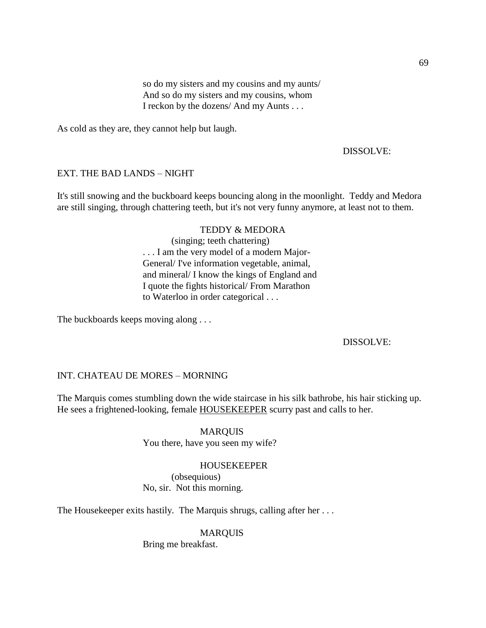so do my sisters and my cousins and my aunts/ And so do my sisters and my cousins, whom I reckon by the dozens/ And my Aunts . . .

As cold as they are, they cannot help but laugh.

## DISSOLVE:

## EXT. THE BAD LANDS – NIGHT

It's still snowing and the buckboard keeps bouncing along in the moonlight. Teddy and Medora are still singing, through chattering teeth, but it's not very funny anymore, at least not to them.

#### TEDDY & MEDORA

(singing; teeth chattering) . . . I am the very model of a modern Major-General/ I've information vegetable, animal, and mineral/ I know the kings of England and I quote the fights historical/ From Marathon to Waterloo in order categorical . . .

The buckboards keeps moving along . . .

## DISSOLVE:

# INT. CHATEAU DE MORES – MORNING

The Marquis comes stumbling down the wide staircase in his silk bathrobe, his hair sticking up. He sees a frightened-looking, female **HOUSEKEEPER** scurry past and calls to her.

## MARQUIS

You there, have you seen my wife?

## HOUSEKEEPER

(obsequious) No, sir. Not this morning.

The Housekeeper exits hastily. The Marquis shrugs, calling after her ...

## MARQUIS

Bring me breakfast.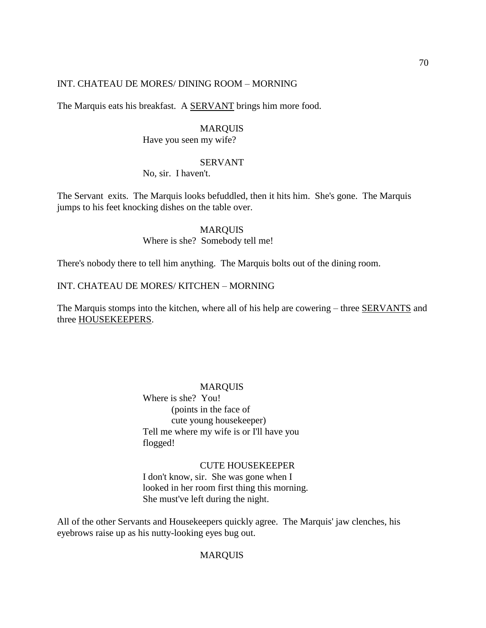## INT. CHATEAU DE MORES/ DINING ROOM – MORNING

The Marquis eats his breakfast. A **SERVANT** brings him more food.

#### **MARQUIS**

Have you seen my wife?

## SERVANT

No, sir. I haven't.

The Servant exits. The Marquis looks befuddled, then it hits him. She's gone. The Marquis jumps to his feet knocking dishes on the table over.

#### MARQUIS

Where is she? Somebody tell me!

There's nobody there to tell him anything. The Marquis bolts out of the dining room.

# INT. CHATEAU DE MORES/ KITCHEN – MORNING

The Marquis stomps into the kitchen, where all of his help are cowering – three **SERVANTS** and three HOUSEKEEPERS.

#### MARQUIS

Where is she? You! (points in the face of cute young housekeeper) Tell me where my wife is or I'll have you flogged!

## CUTE HOUSEKEEPER

I don't know, sir. She was gone when I looked in her room first thing this morning. She must've left during the night.

All of the other Servants and Housekeepers quickly agree. The Marquis' jaw clenches, his eyebrows raise up as his nutty-looking eyes bug out.

## MARQUIS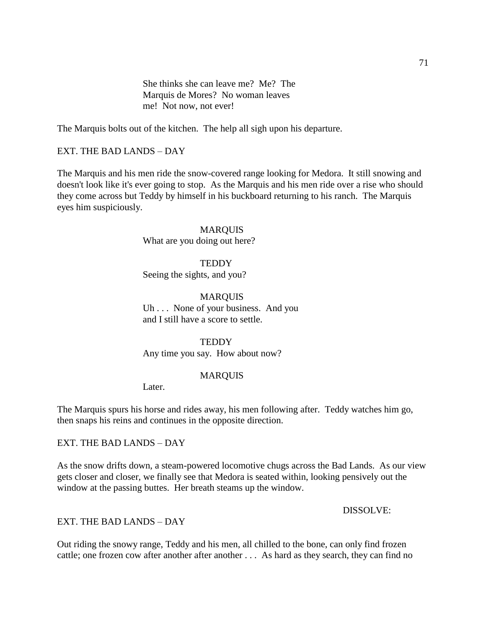She thinks she can leave me? Me? The Marquis de Mores? No woman leaves me! Not now, not ever!

The Marquis bolts out of the kitchen. The help all sigh upon his departure.

## EXT. THE BAD LANDS – DAY

The Marquis and his men ride the snow-covered range looking for Medora. It still snowing and doesn't look like it's ever going to stop. As the Marquis and his men ride over a rise who should they come across but Teddy by himself in his buckboard returning to his ranch. The Marquis eyes him suspiciously.

#### MARQUIS

What are you doing out here?

# **TEDDY** Seeing the sights, and you?

## MARQUIS

Uh . . . None of your business. And you and I still have a score to settle.

## **TEDDY**

Any time you say. How about now?

## MARQUIS

Later.

The Marquis spurs his horse and rides away, his men following after. Teddy watches him go, then snaps his reins and continues in the opposite direction.

EXT. THE BAD LANDS – DAY

As the snow drifts down, a steam-powered locomotive chugs across the Bad Lands. As our view gets closer and closer, we finally see that Medora is seated within, looking pensively out the window at the passing buttes. Her breath steams up the window.

DISSOLVE:

EXT. THE BAD LANDS – DAY

Out riding the snowy range, Teddy and his men, all chilled to the bone, can only find frozen cattle; one frozen cow after another after another . . . As hard as they search, they can find no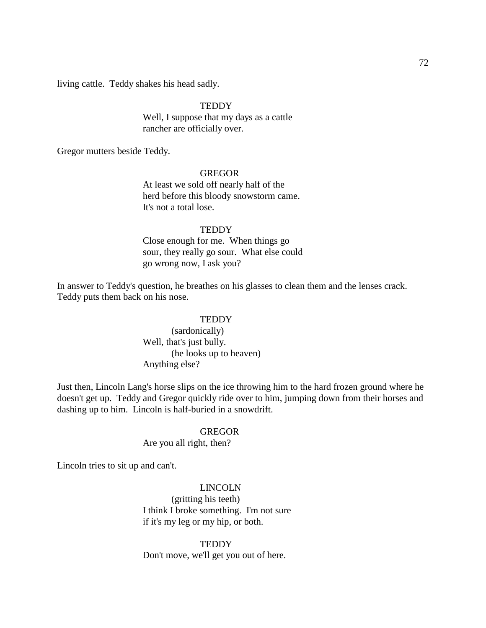living cattle. Teddy shakes his head sadly.

## **TEDDY**

Well, I suppose that my days as a cattle rancher are officially over.

Gregor mutters beside Teddy.

#### GREGOR

At least we sold off nearly half of the herd before this bloody snowstorm came. It's not a total lose.

#### **TEDDY**

Close enough for me. When things go sour, they really go sour. What else could go wrong now, I ask you?

In answer to Teddy's question, he breathes on his glasses to clean them and the lenses crack. Teddy puts them back on his nose.

## **TEDDY**

(sardonically) Well, that's just bully. (he looks up to heaven) Anything else?

Just then, Lincoln Lang's horse slips on the ice throwing him to the hard frozen ground where he doesn't get up. Teddy and Gregor quickly ride over to him, jumping down from their horses and dashing up to him. Lincoln is half-buried in a snowdrift.

## **GREGOR**

Are you all right, then?

Lincoln tries to sit up and can't.

LINCOLN (gritting his teeth) I think I broke something. I'm not sure if it's my leg or my hip, or both.

**TEDDY** Don't move, we'll get you out of here.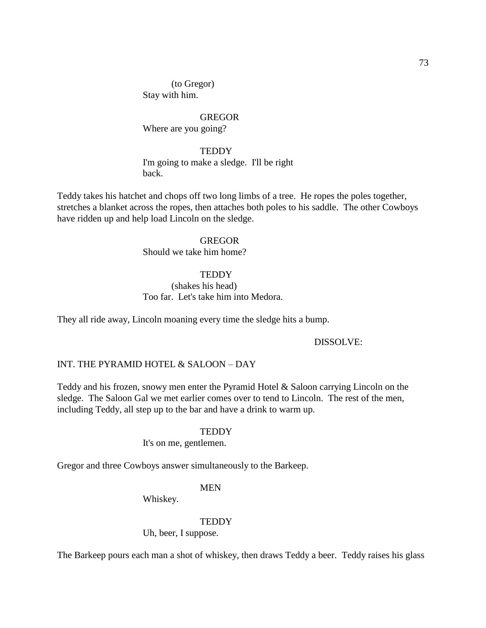(to Gregor) Stay with him.

GREGOR Where are you going?

#### **TEDDY**

I'm going to make a sledge. I'll be right back.

Teddy takes his hatchet and chops off two long limbs of a tree. He ropes the poles together, stretches a blanket across the ropes, then attaches both poles to his saddle. The other Cowboys have ridden up and help load Lincoln on the sledge.

#### GREGOR

Should we take him home?

### **TEDDY**

# (shakes his head) Too far. Let's take him into Medora.

They all ride away, Lincoln moaning every time the sledge hits a bump.

### DISSOLVE:

### INT. THE PYRAMID HOTEL & SALOON – DAY

Teddy and his frozen, snowy men enter the Pyramid Hotel & Saloon carrying Lincoln on the sledge. The Saloon Gal we met earlier comes over to tend to Lincoln. The rest of the men, including Teddy, all step up to the bar and have a drink to warm up.

### **TEDDY**

It's on me, gentlemen.

Gregor and three Cowboys answer simultaneously to the Barkeep.

### MEN

Whiskey.

#### **TEDDY**

Uh, beer, I suppose.

The Barkeep pours each man a shot of whiskey, then draws Teddy a beer. Teddy raises his glass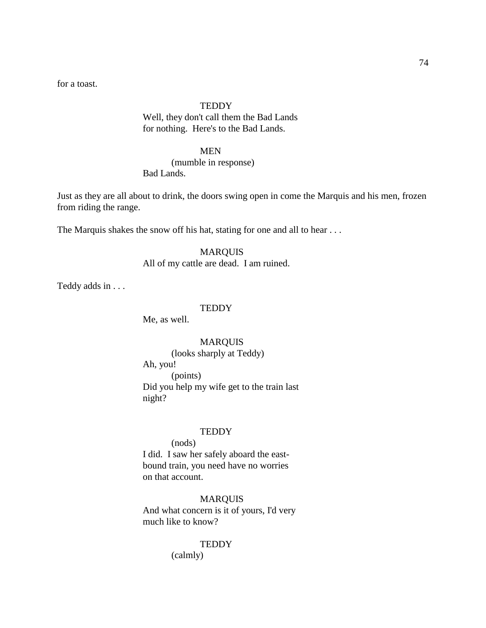for a toast.

### **TEDDY**

Well, they don't call them the Bad Lands for nothing. Here's to the Bad Lands.

#### MEN

(mumble in response) Bad Lands.

Just as they are all about to drink, the doors swing open in come the Marquis and his men, frozen from riding the range.

The Marquis shakes the snow off his hat, stating for one and all to hear ...

### MARQUIS

All of my cattle are dead. I am ruined.

Teddy adds in . . .

#### **TEDDY**

Me, as well.

# MARQUIS

(looks sharply at Teddy) Ah, you! (points) Did you help my wife get to the train last night?

### **TEDDY**

(nods) I did. I saw her safely aboard the eastbound train, you need have no worries on that account.

MARQUIS And what concern is it of yours, I'd very much like to know?

#### **TEDDY**

(calmly)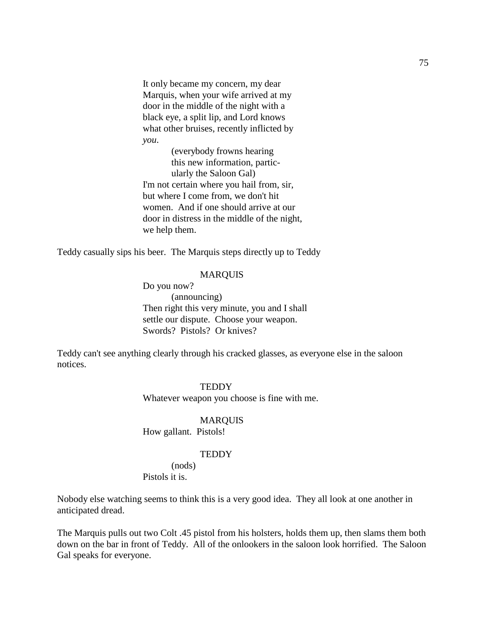It only became my concern, my dear Marquis, when your wife arrived at my door in the middle of the night with a black eye, a split lip, and Lord knows what other bruises, recently inflicted by *you*.

(everybody frowns hearing this new information, particularly the Saloon Gal) I'm not certain where you hail from, sir, but where I come from, we don't hit women. And if one should arrive at our door in distress in the middle of the night, we help them.

Teddy casually sips his beer. The Marquis steps directly up to Teddy

# MARQUIS

Do you now? (announcing) Then right this very minute, you and I shall settle our dispute. Choose your weapon. Swords? Pistols? Or knives?

Teddy can't see anything clearly through his cracked glasses, as everyone else in the saloon notices.

#### **TEDDY**

Whatever weapon you choose is fine with me.

### MARQUIS

How gallant. Pistols!

#### **TEDDY**

(nods) Pistols it is.

Nobody else watching seems to think this is a very good idea. They all look at one another in anticipated dread.

The Marquis pulls out two Colt .45 pistol from his holsters, holds them up, then slams them both down on the bar in front of Teddy. All of the onlookers in the saloon look horrified. The Saloon Gal speaks for everyone.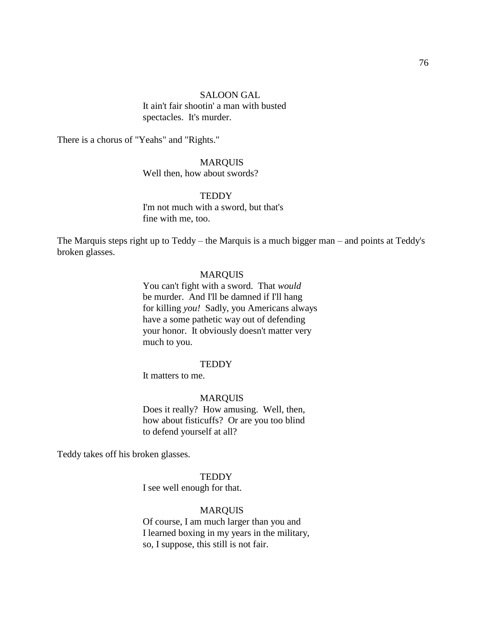#### SALOON GAL

It ain't fair shootin' a man with busted spectacles. It's murder.

There is a chorus of "Yeahs" and "Rights."

# MARQUIS

Well then, how about swords?

### **TEDDY**

I'm not much with a sword, but that's fine with me, too.

The Marquis steps right up to Teddy – the Marquis is a much bigger man – and points at Teddy's broken glasses.

### MARQUIS

You can't fight with a sword. That *would* be murder. And I'll be damned if I'll hang for killing *you!* Sadly, you Americans always have a some pathetic way out of defending your honor. It obviously doesn't matter very much to you.

#### **TEDDY**

It matters to me.

#### MARQUIS

Does it really? How amusing. Well, then, how about fisticuffs? Or are you too blind to defend yourself at all?

Teddy takes off his broken glasses.

**TEDDY** 

I see well enough for that.

### MARQUIS

Of course, I am much larger than you and I learned boxing in my years in the military, so, I suppose, this still is not fair.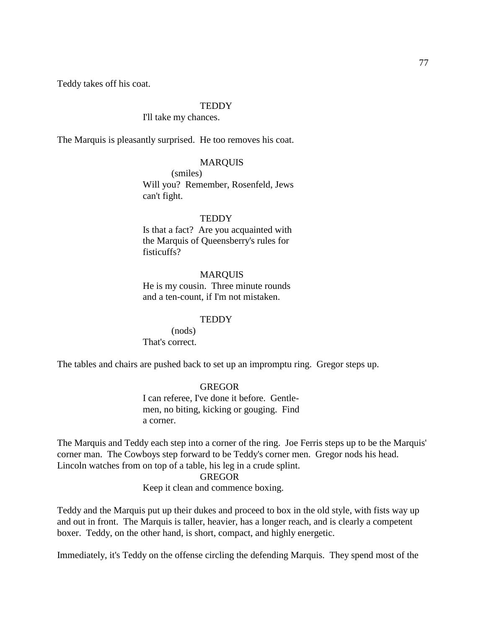Teddy takes off his coat.

#### **TEDDY**

### I'll take my chances.

The Marquis is pleasantly surprised. He too removes his coat.

### MARQUIS

(smiles) Will you? Remember, Rosenfeld, Jews can't fight.

#### **TEDDY**

Is that a fact? Are you acquainted with the Marquis of Queensberry's rules for fisticuffs?

### MARQUIS

He is my cousin. Three minute rounds and a ten-count, if I'm not mistaken.

#### **TEDDY**

(nods) That's correct.

The tables and chairs are pushed back to set up an impromptu ring. Gregor steps up.

#### GREGOR

I can referee, I've done it before. Gentlemen, no biting, kicking or gouging. Find a corner.

The Marquis and Teddy each step into a corner of the ring. Joe Ferris steps up to be the Marquis' corner man. The Cowboys step forward to be Teddy's corner men. Gregor nods his head. Lincoln watches from on top of a table, his leg in a crude splint.

# GREGOR

Keep it clean and commence boxing.

Teddy and the Marquis put up their dukes and proceed to box in the old style, with fists way up and out in front. The Marquis is taller, heavier, has a longer reach, and is clearly a competent boxer. Teddy, on the other hand, is short, compact, and highly energetic.

Immediately, it's Teddy on the offense circling the defending Marquis. They spend most of the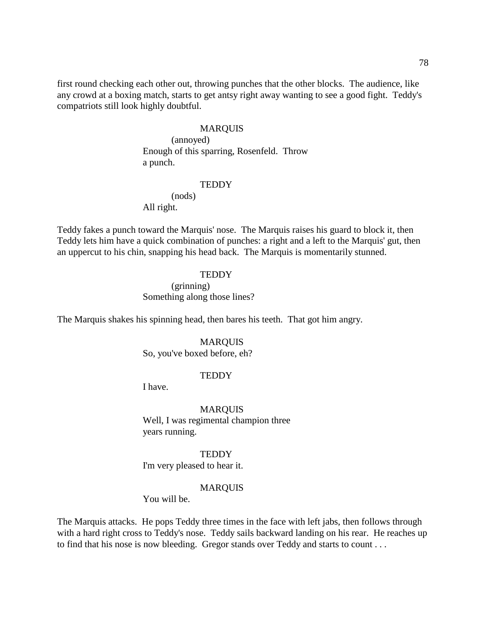first round checking each other out, throwing punches that the other blocks. The audience, like any crowd at a boxing match, starts to get antsy right away wanting to see a good fight. Teddy's compatriots still look highly doubtful.

### MARQUIS

(annoyed) Enough of this sparring, Rosenfeld. Throw a punch.

### **TEDDY**

(nods) All right.

Teddy fakes a punch toward the Marquis' nose. The Marquis raises his guard to block it, then Teddy lets him have a quick combination of punches: a right and a left to the Marquis' gut, then an uppercut to his chin, snapping his head back. The Marquis is momentarily stunned.

#### **TEDDY**

(grinning) Something along those lines?

The Marquis shakes his spinning head, then bares his teeth. That got him angry.

### MARQUIS

So, you've boxed before, eh?

#### **TEDDY**

I have.

MARQUIS Well, I was regimental champion three years running.

**TEDDY** I'm very pleased to hear it.

### MARQUIS

You will be.

The Marquis attacks. He pops Teddy three times in the face with left jabs, then follows through with a hard right cross to Teddy's nose. Teddy sails backward landing on his rear. He reaches up to find that his nose is now bleeding. Gregor stands over Teddy and starts to count . . .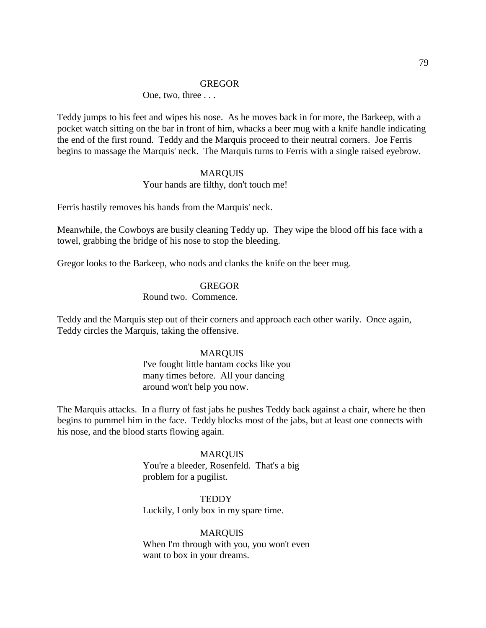### GREGOR

### One, two, three . . .

Teddy jumps to his feet and wipes his nose. As he moves back in for more, the Barkeep, with a pocket watch sitting on the bar in front of him, whacks a beer mug with a knife handle indicating the end of the first round. Teddy and the Marquis proceed to their neutral corners. Joe Ferris begins to massage the Marquis' neck. The Marquis turns to Ferris with a single raised eyebrow.

#### MARQUIS

# Your hands are filthy, don't touch me!

Ferris hastily removes his hands from the Marquis' neck.

Meanwhile, the Cowboys are busily cleaning Teddy up. They wipe the blood off his face with a towel, grabbing the bridge of his nose to stop the bleeding.

Gregor looks to the Barkeep, who nods and clanks the knife on the beer mug.

#### GREGOR

# Round two. Commence.

Teddy and the Marquis step out of their corners and approach each other warily. Once again, Teddy circles the Marquis, taking the offensive.

### MARQUIS

I've fought little bantam cocks like you many times before. All your dancing around won't help you now.

The Marquis attacks. In a flurry of fast jabs he pushes Teddy back against a chair, where he then begins to pummel him in the face. Teddy blocks most of the jabs, but at least one connects with his nose, and the blood starts flowing again.

#### MARQUIS

You're a bleeder, Rosenfeld. That's a big problem for a pugilist.

# **TEDDY**

Luckily, I only box in my spare time.

#### **MARQUIS**

When I'm through with you, you won't even want to box in your dreams.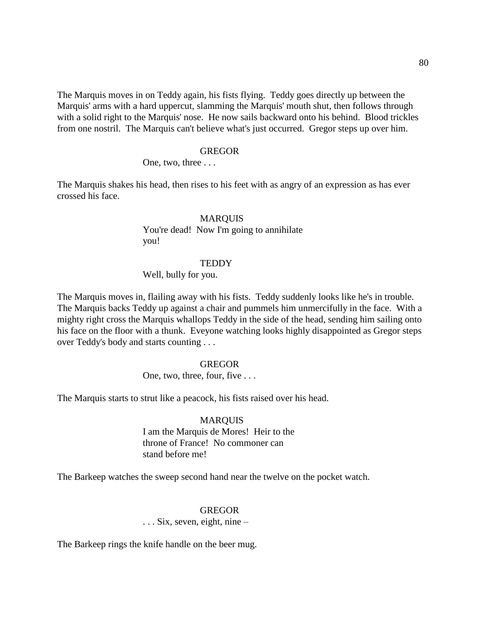The Marquis moves in on Teddy again, his fists flying. Teddy goes directly up between the Marquis' arms with a hard uppercut, slamming the Marquis' mouth shut, then follows through with a solid right to the Marquis' nose. He now sails backward onto his behind. Blood trickles from one nostril. The Marquis can't believe what's just occurred. Gregor steps up over him.

#### GREGOR

One, two, three . . .

The Marquis shakes his head, then rises to his feet with as angry of an expression as has ever crossed his face.

#### MARQUIS

You're dead! Now I'm going to annihilate you!

### **TEDDY**

Well, bully for you.

The Marquis moves in, flailing away with his fists. Teddy suddenly looks like he's in trouble. The Marquis backs Teddy up against a chair and pummels him unmercifully in the face. With a mighty right cross the Marquis whallops Teddy in the side of the head, sending him sailing onto his face on the floor with a thunk. Eveyone watching looks highly disappointed as Gregor steps over Teddy's body and starts counting . . .

#### GREGOR

One, two, three, four, five . . .

The Marquis starts to strut like a peacock, his fists raised over his head.

# **MARQUIS** I am the Marquis de Mores! Heir to the throne of France! No commoner can stand before me!

The Barkeep watches the sweep second hand near the twelve on the pocket watch.

### **GREGOR**

. . . Six, seven, eight, nine –

The Barkeep rings the knife handle on the beer mug.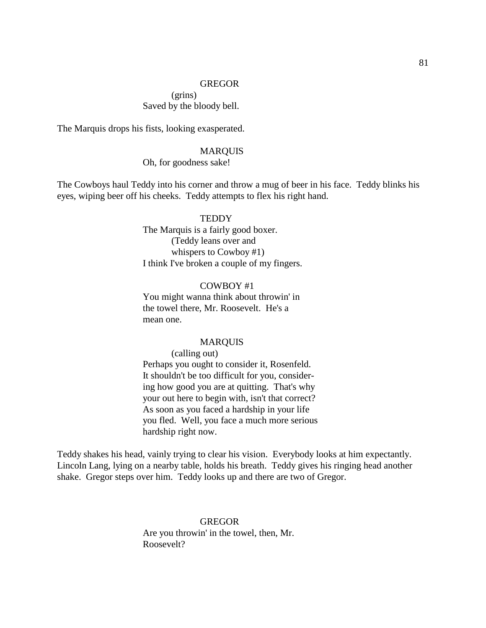The Marquis drops his fists, looking exasperated.

#### MARQUIS

Oh, for goodness sake!

The Cowboys haul Teddy into his corner and throw a mug of beer in his face. Teddy blinks his eyes, wiping beer off his cheeks. Teddy attempts to flex his right hand.

# **TEDDY**

The Marquis is a fairly good boxer. (Teddy leans over and whispers to Cowboy #1) I think I've broken a couple of my fingers.

COWBOY #1 You might wanna think about throwin' in the towel there, Mr. Roosevelt. He's a mean one.

### MARQUIS

(calling out) Perhaps you ought to consider it, Rosenfeld.

It shouldn't be too difficult for you, considering how good you are at quitting. That's why your out here to begin with, isn't that correct? As soon as you faced a hardship in your life you fled. Well, you face a much more serious hardship right now.

Teddy shakes his head, vainly trying to clear his vision. Everybody looks at him expectantly. Lincoln Lang, lying on a nearby table, holds his breath. Teddy gives his ringing head another shake. Gregor steps over him. Teddy looks up and there are two of Gregor.

> **GREGOR** Are you throwin' in the towel, then, Mr. Roosevelt?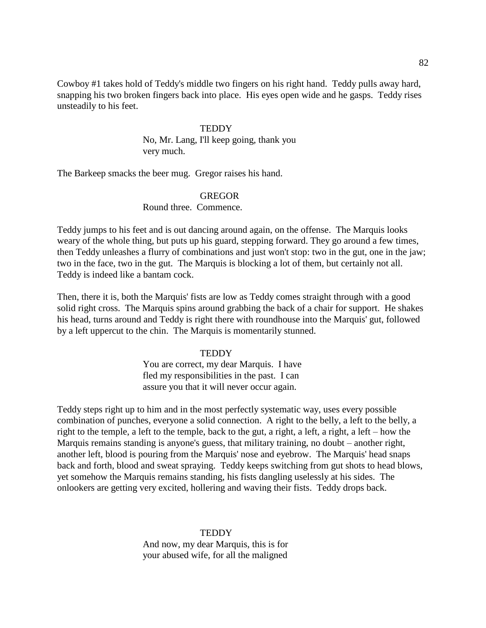Cowboy #1 takes hold of Teddy's middle two fingers on his right hand. Teddy pulls away hard, snapping his two broken fingers back into place. His eyes open wide and he gasps. Teddy rises unsteadily to his feet.

### **TEDDY**

No, Mr. Lang, I'll keep going, thank you very much.

The Barkeep smacks the beer mug. Gregor raises his hand.

# GREGOR

Round three. Commence.

Teddy jumps to his feet and is out dancing around again, on the offense. The Marquis looks weary of the whole thing, but puts up his guard, stepping forward. They go around a few times, then Teddy unleashes a flurry of combinations and just won't stop: two in the gut, one in the jaw; two in the face, two in the gut. The Marquis is blocking a lot of them, but certainly not all. Teddy is indeed like a bantam cock.

Then, there it is, both the Marquis' fists are low as Teddy comes straight through with a good solid right cross. The Marquis spins around grabbing the back of a chair for support. He shakes his head, turns around and Teddy is right there with roundhouse into the Marquis' gut, followed by a left uppercut to the chin. The Marquis is momentarily stunned.

# **TEDDY**

You are correct, my dear Marquis. I have fled my responsibilities in the past. I can assure you that it will never occur again.

Teddy steps right up to him and in the most perfectly systematic way, uses every possible combination of punches, everyone a solid connection. A right to the belly, a left to the belly, a right to the temple, a left to the temple, back to the gut, a right, a left, a right, a left – how the Marquis remains standing is anyone's guess, that military training, no doubt – another right, another left, blood is pouring from the Marquis' nose and eyebrow. The Marquis' head snaps back and forth, blood and sweat spraying. Teddy keeps switching from gut shots to head blows, yet somehow the Marquis remains standing, his fists dangling uselessly at his sides. The onlookers are getting very excited, hollering and waving their fists. Teddy drops back.

> **TEDDY** And now, my dear Marquis, this is for your abused wife, for all the maligned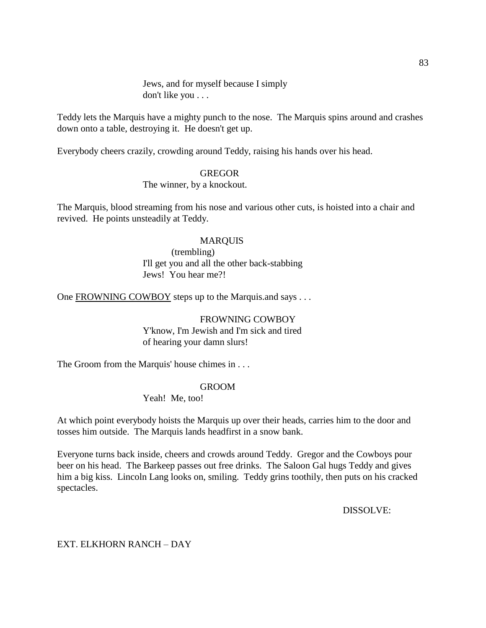Jews, and for myself because I simply don't like you . . .

Teddy lets the Marquis have a mighty punch to the nose. The Marquis spins around and crashes down onto a table, destroying it. He doesn't get up.

Everybody cheers crazily, crowding around Teddy, raising his hands over his head.

### GREGOR

The winner, by a knockout.

The Marquis, blood streaming from his nose and various other cuts, is hoisted into a chair and revived. He points unsteadily at Teddy.

# MARQUIS

(trembling) I'll get you and all the other back-stabbing Jews! You hear me?!

One FROWNING COWBOY steps up to the Marquis.and says ...

# FROWNING COWBOY Y'know, I'm Jewish and I'm sick and tired of hearing your damn slurs!

The Groom from the Marquis' house chimes in . . .

# GROOM

Yeah! Me, too!

At which point everybody hoists the Marquis up over their heads, carries him to the door and tosses him outside. The Marquis lands headfirst in a snow bank.

Everyone turns back inside, cheers and crowds around Teddy. Gregor and the Cowboys pour beer on his head. The Barkeep passes out free drinks. The Saloon Gal hugs Teddy and gives him a big kiss. Lincoln Lang looks on, smiling. Teddy grins toothily, then puts on his cracked spectacles.

DISSOLVE:

# EXT. ELKHORN RANCH – DAY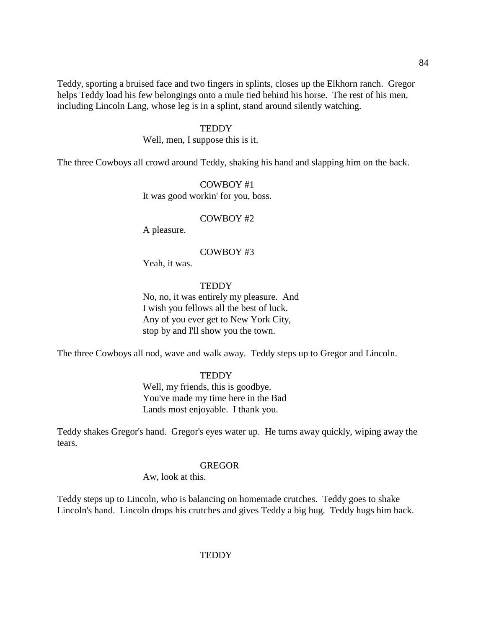Teddy, sporting a bruised face and two fingers in splints, closes up the Elkhorn ranch. Gregor helps Teddy load his few belongings onto a mule tied behind his horse. The rest of his men, including Lincoln Lang, whose leg is in a splint, stand around silently watching.

#### **TEDDY**

Well, men, I suppose this is it.

The three Cowboys all crowd around Teddy, shaking his hand and slapping him on the back.

COWBOY #1 It was good workin' for you, boss.

### COWBOY #2

A pleasure.

#### COWBOY #3

Yeah, it was.

#### **TEDDY**

No, no, it was entirely my pleasure. And I wish you fellows all the best of luck. Any of you ever get to New York City, stop by and I'll show you the town.

The three Cowboys all nod, wave and walk away. Teddy steps up to Gregor and Lincoln.

# **TEDDY**

Well, my friends, this is goodbye. You've made my time here in the Bad Lands most enjoyable. I thank you.

Teddy shakes Gregor's hand. Gregor's eyes water up. He turns away quickly, wiping away the tears.

#### GREGOR

Aw, look at this.

Teddy steps up to Lincoln, who is balancing on homemade crutches. Teddy goes to shake Lincoln's hand. Lincoln drops his crutches and gives Teddy a big hug. Teddy hugs him back.

**TEDDY**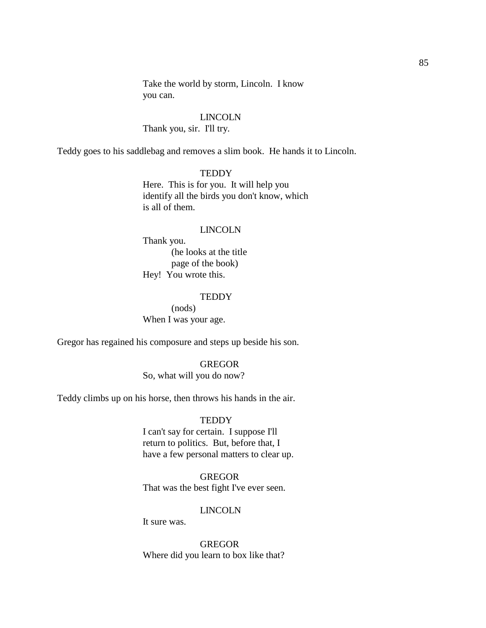Take the world by storm, Lincoln. I know you can.

# LINCOLN

Thank you, sir. I'll try.

Teddy goes to his saddlebag and removes a slim book. He hands it to Lincoln.

### **TEDDY**

Here. This is for you. It will help you identify all the birds you don't know, which is all of them.

#### LINCOLN

Thank you. (he looks at the title page of the book) Hey! You wrote this.

#### **TEDDY**

(nods) When I was your age.

Gregor has regained his composure and steps up beside his son.

#### GREGOR

So, what will you do now?

Teddy climbs up on his horse, then throws his hands in the air.

### **TEDDY**

I can't say for certain. I suppose I'll return to politics. But, before that, I have a few personal matters to clear up.

### GREGOR

That was the best fight I've ever seen.

# LINCOLN

It sure was.

GREGOR Where did you learn to box like that?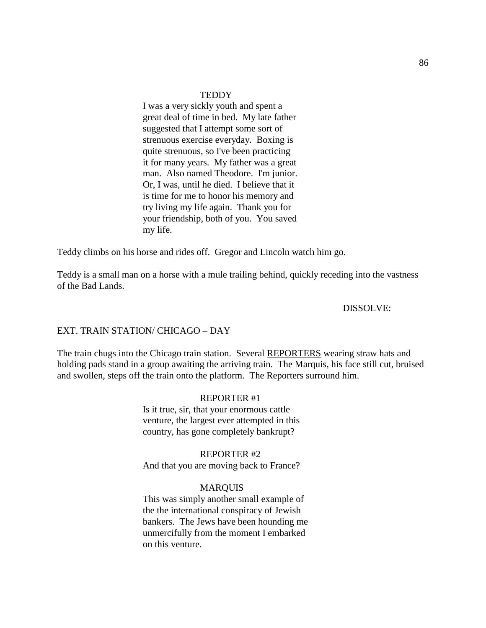#### **TEDDY**

I was a very sickly youth and spent a great deal of time in bed. My late father suggested that I attempt some sort of strenuous exercise everyday. Boxing is quite strenuous, so I've been practicing it for many years. My father was a great man. Also named Theodore. I'm junior. Or, I was, until he died. I believe that it is time for me to honor his memory and try living my life again. Thank you for your friendship, both of you. You saved my life.

Teddy climbs on his horse and rides off. Gregor and Lincoln watch him go.

Teddy is a small man on a horse with a mule trailing behind, quickly receding into the vastness of the Bad Lands.

### DISSOLVE:

#### EXT. TRAIN STATION/ CHICAGO – DAY

The train chugs into the Chicago train station. Several REPORTERS wearing straw hats and holding pads stand in a group awaiting the arriving train. The Marquis, his face still cut, bruised and swollen, steps off the train onto the platform. The Reporters surround him.

#### REPORTER #1

Is it true, sir, that your enormous cattle venture, the largest ever attempted in this country, has gone completely bankrupt?

#### REPORTER #2

And that you are moving back to France?

#### MARQUIS

This was simply another small example of the the international conspiracy of Jewish bankers. The Jews have been hounding me unmercifully from the moment I embarked on this venture.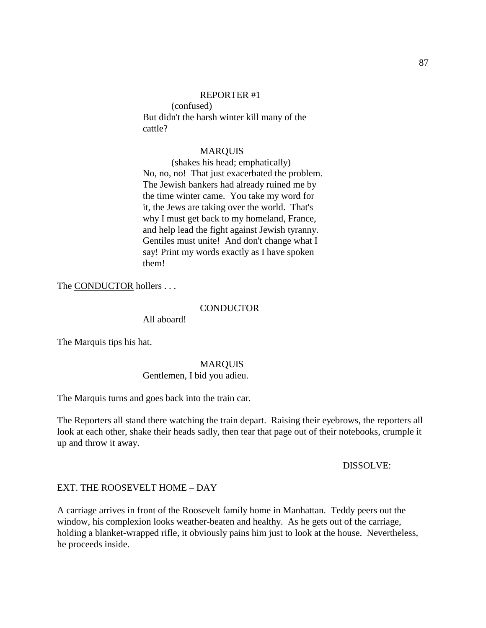#### REPORTER #1

(confused) But didn't the harsh winter kill many of the cattle?

#### MARQUIS

(shakes his head; emphatically) No, no, no! That just exacerbated the problem. The Jewish bankers had already ruined me by the time winter came. You take my word for it, the Jews are taking over the world. That's why I must get back to my homeland, France, and help lead the fight against Jewish tyranny. Gentiles must unite! And don't change what I say! Print my words exactly as I have spoken them!

The CONDUCTOR hollers . . .

#### CONDUCTOR

All aboard!

The Marquis tips his hat.

#### MARQUIS

#### Gentlemen, I bid you adieu.

The Marquis turns and goes back into the train car.

The Reporters all stand there watching the train depart. Raising their eyebrows, the reporters all look at each other, shake their heads sadly, then tear that page out of their notebooks, crumple it up and throw it away.

#### DISSOLVE:

#### EXT. THE ROOSEVELT HOME – DAY

A carriage arrives in front of the Roosevelt family home in Manhattan. Teddy peers out the window, his complexion looks weather-beaten and healthy. As he gets out of the carriage, holding a blanket-wrapped rifle, it obviously pains him just to look at the house. Nevertheless, he proceeds inside.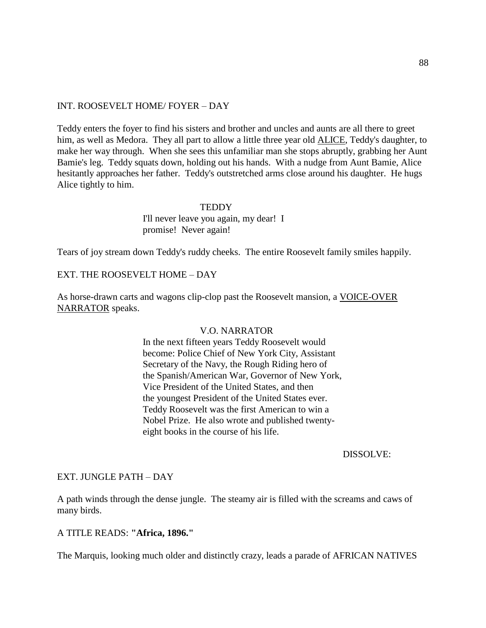# INT. ROOSEVELT HOME/ FOYER – DAY

Teddy enters the foyer to find his sisters and brother and uncles and aunts are all there to greet him, as well as Medora. They all part to allow a little three year old ALICE, Teddy's daughter, to make her way through. When she sees this unfamiliar man she stops abruptly, grabbing her Aunt Bamie's leg. Teddy squats down, holding out his hands. With a nudge from Aunt Bamie, Alice hesitantly approaches her father. Teddy's outstretched arms close around his daughter. He hugs Alice tightly to him.

#### **TEDDY**

I'll never leave you again, my dear! I promise! Never again!

Tears of joy stream down Teddy's ruddy cheeks. The entire Roosevelt family smiles happily.

# EXT. THE ROOSEVELT HOME – DAY

As horse-drawn carts and wagons clip-clop past the Roosevelt mansion, a VOICE-OVER NARRATOR speaks.

#### V.O. NARRATOR

In the next fifteen years Teddy Roosevelt would become: Police Chief of New York City, Assistant Secretary of the Navy, the Rough Riding hero of the Spanish/American War, Governor of New York, Vice President of the United States, and then the youngest President of the United States ever. Teddy Roosevelt was the first American to win a Nobel Prize. He also wrote and published twentyeight books in the course of his life.

#### DISSOLVE:

### EXT. JUNGLE PATH – DAY

A path winds through the dense jungle. The steamy air is filled with the screams and caws of many birds.

# A TITLE READS: **"Africa, 1896."**

The Marquis, looking much older and distinctly crazy, leads a parade of AFRICAN NATIVES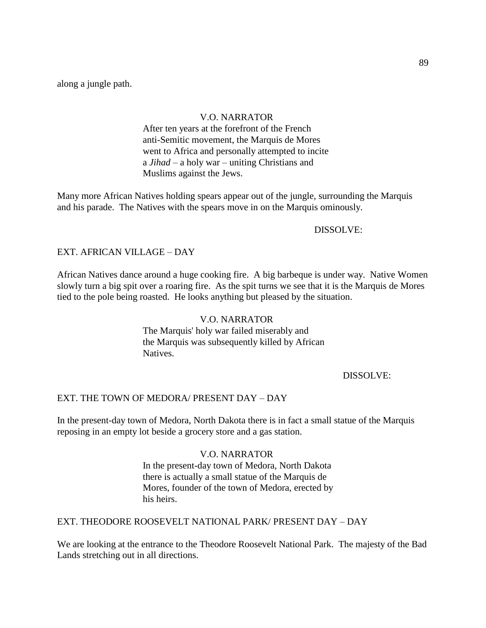along a jungle path.

# V.O. NARRATOR

After ten years at the forefront of the French anti-Semitic movement, the Marquis de Mores went to Africa and personally attempted to incite a *Jihad* – a holy war – uniting Christians and Muslims against the Jews.

Many more African Natives holding spears appear out of the jungle, surrounding the Marquis and his parade. The Natives with the spears move in on the Marquis ominously.

# DISSOLVE:

# EXT. AFRICAN VILLAGE – DAY

African Natives dance around a huge cooking fire. A big barbeque is under way. Native Women slowly turn a big spit over a roaring fire. As the spit turns we see that it is the Marquis de Mores tied to the pole being roasted. He looks anything but pleased by the situation.

# V.O. NARRATOR

The Marquis' holy war failed miserably and the Marquis was subsequently killed by African Natives.

# DISSOLVE:

# EXT. THE TOWN OF MEDORA/ PRESENT DAY – DAY

In the present-day town of Medora, North Dakota there is in fact a small statue of the Marquis reposing in an empty lot beside a grocery store and a gas station.

# V.O. NARRATOR

In the present-day town of Medora, North Dakota there is actually a small statue of the Marquis de Mores, founder of the town of Medora, erected by his heirs.

EXT. THEODORE ROOSEVELT NATIONAL PARK/ PRESENT DAY – DAY

We are looking at the entrance to the Theodore Roosevelt National Park. The majesty of the Bad Lands stretching out in all directions.